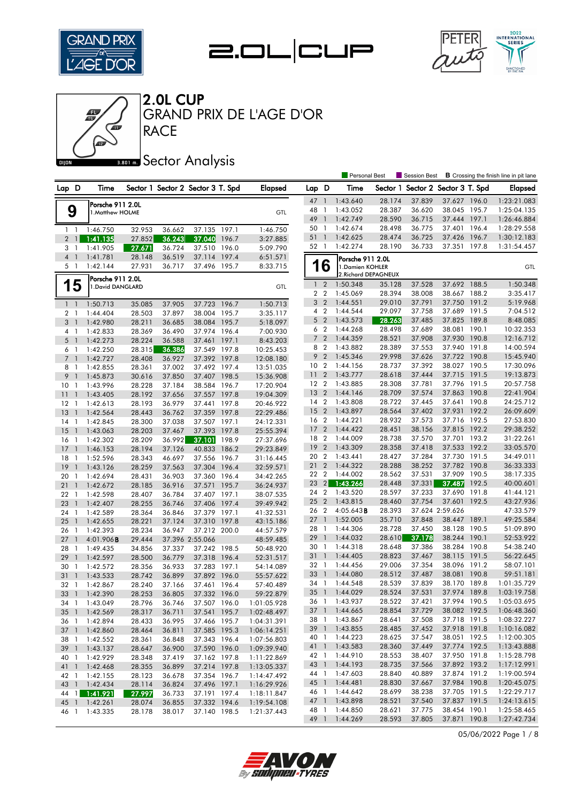







**RACE** GRAND PRIX DE L'AGE D'OR

### **Bana** Sector Analysis

|                                   |                                     |                  |                  |                                   |       |                        |                 |                | <b>Personal Best</b> |                      | Session Best             |                              |       | <b>B</b> Crossing the finish line in pit lane |
|-----------------------------------|-------------------------------------|------------------|------------------|-----------------------------------|-------|------------------------|-----------------|----------------|----------------------|----------------------|--------------------------|------------------------------|-------|-----------------------------------------------|
| Lap D                             | Time                                |                  |                  | Sector 1 Sector 2 Sector 3 T. Spd |       | <b>Elapsed</b>         | Lap D           |                | Time                 | Sector 1             | Sector 2 Sector 3 T. Spd |                              |       | <b>Elapsed</b>                                |
|                                   |                                     |                  |                  |                                   |       |                        | 47              | $\overline{1}$ | 1:43.640             | 28.174               | 37.839                   | 37.627 196.0                 |       | 1:23:21.083                                   |
| 9                                 | Porsche 911 2.0L<br>1.Matthew HOLME |                  |                  |                                   |       | GTL                    | 48              | 1              | 1:43.052             | 28.387               | 36.620                   | 38.045 195.7                 |       | 1:25:04.135                                   |
|                                   |                                     |                  |                  |                                   |       |                        | 49              | $\blacksquare$ | 1:42.749             | 28.590               | 36.715                   | 37.444 197.1                 |       | 1:26:46.884                                   |
| $1\quad$                          | 1:46.750                            | 32.953           | 36.662           | 37.135 197.1                      |       | 1:46.750               | 50              | -1             | 1:42.674             | 28.498               | 36.775                   | 37.401                       | 196.4 | 1:28:29.558                                   |
| $2 \mid \mid$                     | 1:41.135                            | 27.852           | 36.243           | 37.040                            | 196.7 | 3:27.885               | 51 1            |                | 1:42.625             | 28.474               | 36.725                   | 37.426 196.7                 |       | 1:30:12.183                                   |
| 3<br>1                            | 1:41.905                            | 27.671           | 36.724           | 37.510 196.0                      |       | 5:09.790               | 52 1            |                | 1:42.274             | 28.190               | 36.733                   | 37.351                       | 197.8 | 1:31:54.457                                   |
| $\overline{4}$<br>$\mathbf{1}$    | 1:41.781                            | 28.148           | 36.519           | 37.114 197.4                      |       | 6:51.571               |                 |                | Porsche 911 2.0L     |                      |                          |                              |       |                                               |
| 5 1                               | 1:42.144                            | 27.931           | 36.717           | 37.496 195.7                      |       | 8:33.715               |                 | 16             | 1. Damien KOHLER     |                      |                          |                              |       | GTL                                           |
|                                   | Porsche 911 2.0L                    |                  |                  |                                   |       |                        |                 |                |                      | 2. Richard DEPAGNEUX |                          |                              |       |                                               |
| 15                                | 1. David DANGLARD                   |                  |                  |                                   |       | GTL                    |                 | $1\quad 2$     | 1:50.348             | 35.128               | 37.528                   | 37.692 188.5                 |       | 1:50.348                                      |
|                                   |                                     |                  |                  |                                   |       |                        |                 | 2 <sub>2</sub> | 1:45.069             | 28.394               | 38.008                   | 38.667 188.2                 |       | 3:35.417                                      |
| $1\quad$                          | 1:50.713                            | 35.085           | 37.905           | 37.723                            | 196.7 | 1:50.713               |                 | 3 <sub>2</sub> | 1:44.551             | 29.010               | 37.791                   | 37.750 191.2                 |       | 5:19.968                                      |
| 2 <sub>1</sub>                    | 1:44.404                            | 28.503           | 37.897           | 38.004 195.7                      |       | 3:35.117               |                 | 4 <sup>2</sup> | 1:44.544             | 29.097               | 37.758                   | 37.689 191.5                 |       | 7:04.512                                      |
| 3<br>$\mathbf{1}$                 | 1:42.980                            | 28.211           | 36.685           | 38.084 195.7                      |       | 5:18.097               | 5               | $\overline{2}$ | 1:43.573             | 28.263               | 37.485                   | 37.825                       | 189.8 | 8:48.085                                      |
| 4<br>-1                           | 1:42.833                            | 28.369           | 36.490           | 37.974 196.4                      |       | 7:00.930               |                 | 6 <sub>2</sub> | 1:44.268             | 28.498               | 37.689                   | 38.081 190.1                 |       | 10:32.353                                     |
| $5-1$                             | 1:42.273                            | 28.224           | 36.588           | 37.461 197.1                      |       | 8:43.203               | 7               | $\overline{2}$ | 1:44.359             | 28.521               | 37.908                   | 37.930 190.8                 |       | 12:16.712                                     |
| 6<br>$\overline{1}$               | 1:42.250                            | 28.315           | 36.386           | 37.549 197.8                      |       | 10:25.453              | 8 2             |                | 1:43.882             | 28.389               | 37.553                   | 37.940 191.8                 |       | 14:00.594                                     |
| $7\overline{ }$<br>$\overline{1}$ | 1:42.727                            | 28.408           | 36.927           | 37.392 197.8                      |       | 12:08.180              | 9               | $\overline{2}$ | 1:45.346             | 29.998               | 37.626                   | 37.722 190.8                 |       | 15:45.940                                     |
| 8<br>$\overline{1}$               | 1:42.855                            | 28.361           | 37.002           | 37.492 197.4                      |       | 13:51.035              | 10 <sub>2</sub> |                | 1:44.156             | 28.737               | 37.392                   | 38.027 190.5                 |       | 17:30.096                                     |
| 9<br>$\mathbf{1}$                 | 1:45.873                            | 30.616           | 37.850           | 37.407 198.5                      |       | 15:36.908              | 11              | $\overline{2}$ | 1:43.777             | 28.618               | 37.444                   | 37.715 191.5                 |       | 19:13.873                                     |
| 10<br>- 1                         | 1:43.996                            | 28.228           | 37.184           | 38.584 196.7                      |       | 17:20.904              | 12 <sub>2</sub> |                | 1:43.885             | 28.308               | 37.781                   | 37.796 191.5                 |       | 20:57.758                                     |
| 11<br>$\overline{1}$              | 1:43.405                            | 28.192           | 37.656           | 37.557 197.8                      |       | 19:04.309              | 13 <sup>7</sup> | $\overline{2}$ | 1:44.146             | 28.709               | 37.574                   | 37.863 190.8                 |       | 22:41.904                                     |
| 12<br>$\overline{1}$              | 1:42.613                            | 28.193           | 36.979           | 37.441 197.8                      |       | 20:46.922              | 14 <sup>2</sup> |                | 1:43.808             | 28.722               | 37.445                   | 37.641 190.8                 |       | 24:25.712                                     |
| 13<br>$\overline{1}$              | 1:42.564                            | 28.443           | 36.762           | 37.359 197.8                      |       | 22:29.486              | 15              | $\overline{2}$ | 1:43.897             | 28.564               | 37.402                   | 37.931                       | 192.2 | 26:09.609                                     |
| 14<br>$\mathbf{1}$                | 1:42.845                            | 28.300           | 37.038           | 37.507 197.1                      |       | 24:12.331              | 16 2            |                | 1:44.221             | 28.932               | 37.573                   | 37.716 192.5                 |       | 27:53.830                                     |
| 15<br>$\mathbf{1}$                | 1:43.063                            | 28.203           | 37.467           | 37.393 197.8                      |       | 25:55.394              | 17              | $\overline{2}$ | 1:44.422             | 28.451               | 38.156                   | 37.815                       | 192.2 | 29:38.252                                     |
| 16<br>1                           | 1:42.302                            | 28.209           | 36.992           | 37.101                            | 198.9 | 27:37.696              | 18 2            | $\overline{2}$ | 1:44.009             | 28.738               | 37.570<br>37.418         | 37.701 193.2                 |       | 31:22.261                                     |
| 17<br>$\mathbf{1}$                | 1:46.153                            | 28.194           | 37.126           | 40.833 186.2                      |       | 29:23.849              | 19<br>20 2      |                | 1:43.309<br>1:43.441 | 28.358<br>28.427     | 37.284                   | 37.533<br>37.730 191.5       | 192.2 | 33:05.570<br>34:49.011                        |
| 18<br>1                           | 1:52.596                            | 28.343           | 46.697           | 37.556 196.7                      |       | 31:16.445              | 21              | $\overline{2}$ | 1:44.322             | 28.288               | 38.252                   | 37.782 190.8                 |       | 36:33.333                                     |
| 19<br>$\overline{1}$              | 1:43.126                            | 28.259           | 37.563           | 37.304 196.4                      |       | 32:59.571              | 22 2            |                | 1:44.002             | 28.562               | 37.531                   | 37.909 190.5                 |       | 38:17.335                                     |
| 20<br>$\mathbf{1}$                | 1:42.694                            | 28.431           | 36.903           | 37.360 196.4                      |       | 34:42.265              | 23              | $\overline{2}$ | 1:43.266             | 28.448               | 37.331                   | 37.487                       | 192.5 | 40:00.601                                     |
| 21<br>$\mathbf{1}$<br>22<br>-1    | 1:42.672                            | 28.185           | 36.916           | 37.571                            | 195.7 | 36:24.937              | 24              | $\overline{2}$ | 1:43.520             | 28.597               | 37.233                   | 37.690                       | 191.8 | 41:44.121                                     |
| 23<br>$\overline{1}$              | 1:42.598<br>1:42.407                | 28.407<br>28.255 | 36.784<br>36.746 | 37.407 197.1<br>37.406 197.4      |       | 38:07.535<br>39:49.942 | 25              | $\overline{2}$ | 1:43.815             | 28.460               | 37.754                   | 37.601 192.5                 |       | 43:27.936                                     |
| 24<br>$\overline{1}$              | 1:42.589                            | 28.364           | 36.846           | 37.379 197.1                      |       | 41:32.531              | 26 2            |                | $4:05.643$ <b>B</b>  | 28.393               |                          | 37.624 2:59.626              |       | 47:33.579                                     |
| 25<br>$\mathbf{1}$                | 1:42.655                            | 28.221           | 37.124           | 37.310 197.8                      |       | 43:15.186              | 27              | $\overline{1}$ | 1:52.005             | 35.710               | 37.848                   | 38.447 189.1                 |       | 49:25.584                                     |
| 26<br>1                           | 1:42.393                            | 28.234           | 36.947           | 37.212 200.0                      |       | 44:57.579              | 28 1            |                | 1:44.306             | 28.728               | 37.450                   | 38.128 190.5                 |       | 51:09.890                                     |
| 27<br>$\overline{\phantom{a}}$    | 4:01.906 <b>B</b>                   | 29.444           |                  | 37.396 2:55.066                   |       | 48:59.485              | 29              | $\mathbf{1}$   | 1:44.032             | 28.610               | 37.178                   | 38.244 190.1                 |       | 52:53.922                                     |
| 28<br>-1                          | 1:49.435                            | 34.856           | 37.337           | 37.242 198.5                      |       | 50:48.920              | 30              | $\overline{1}$ | 1:44.318             | 28.648               | 37.386                   | 38.284 190.8                 |       | 54:38.240                                     |
| 29<br>$\mathbf{1}$                | 1:42.597                            | 28.500           | 36.779           | 37.318 196.4                      |       | 52:31.517              | 31              | $\overline{1}$ | 1:44.405             | 28.823               | 37.467                   | 38.115 191.5                 |       | 56:22.645                                     |
| 30<br>$\mathbf{1}$                | 1:42.572                            | 28.356           | 36.933           | 37.283 197.1                      |       | 54:14.089              | 32 1            |                | 1:44.456             | 29.006               | 37.354                   | 38.096 191.2                 |       | 58:07.101                                     |
| 31<br>$\mathbf{1}$                | 1:43.533                            | 28.742           | 36.899           | 37.892 196.0                      |       | 55:57.622              | 33              | $\overline{1}$ | 1:44.080             | 28.512               | 37.487                   | 38.081                       | 190.8 | 59:51.181                                     |
| 32<br>-1                          | 1:42.867                            | 28.240           | 37.166           | 37.461                            | 196.4 | 57:40.489              | 34              | $\overline{1}$ | 1:44.548             | 28.539               | 37.839                   | 38.170                       | 189.8 | 1:01:35.729                                   |
| 33<br>$\overline{1}$              | 1:42.390                            | 28.253           | 36.805           | 37.332 196.0                      |       | 59:22.879              | $35 \quad 1$    |                | 1:44.029             | 28.524               | 37.531                   | 37.974 189.8                 |       | 1:03:19.758                                   |
| 34 1                              | 1:43.049                            | 28.796           | 36.746           | 37.507 196.0                      |       | 1:01:05.928            |                 |                | 36 1 1:43.937        | 28.522               | 37.421                   | 37.994 190.5                 |       | 1:05:03.695                                   |
|                                   | 35 1 1:42.569                       | 28.317           | 36.711           | 37.541 195.7                      |       | 1:02:48.497            |                 |                | 37 1 1:44.665        | 28.854               | 37.729                   | 38.082 192.5                 |       | 1:06:48.360                                   |
|                                   | 36 1 1:42.894                       | 28.433           | 36.995           | 37.466 195.7                      |       | 1:04:31.391            | 38 1            |                | 1:43.867             | 28.641               | 37.508                   | 37.718 191.5                 |       | 1:08:32.227                                   |
|                                   | 37 1 1:42.860                       | 28.464           | 36.811           | 37.585 195.3                      |       | 1:06:14.251            |                 | 39 1           | 1:43.855             | 28.485               | 37.452                   | 37.918 191.8                 |       | 1:10:16.082                                   |
| 38 1                              | 1:42.552                            | 28.361           | 36.848           | 37.343 196.4                      |       | 1:07:56.803            | 40 1            |                | 1:44.223             | 28.625               | 37.547                   | 38.051 192.5                 |       | 1:12:00.305                                   |
|                                   | 39 1 1:43.137                       | 28.647           | 36.900           | 37.590 196.0                      |       | 1:09:39.940            | 41 1            |                | 1:43.583             | 28.360               | 37.449                   | 37.774 192.5                 |       | 1:13:43.888                                   |
| 40<br>$\overline{1}$              | 1:42.929                            | 28.348           | 37.419           | 37.162 197.8                      |       | 1:11:22.869            | 42 1            |                | 1:44.910             | 28.553               | 38.407                   | 37.950 191.8                 |       | 1:15:28.798                                   |
|                                   | 41 1 1:42.468                       | 28.355           | 36.899           | 37.214 197.8                      |       | 1:13:05.337            | 43 1            |                | 1:44.193             | 28.735               | 37.566                   | 37.892 193.2                 |       | 1:17:12.991                                   |
|                                   | 42 1 1:42.155                       | 28.123           | 36.678           | 37.354 196.7                      |       | 1:14:47.492            | 44 1            |                | 1:47.603             | 28.840               | 40.889                   | 37.874 191.2                 |       | 1:19:00.594                                   |
|                                   | 43 1 1:42.434                       | 28.114           | 36.824           | 37.496 197.1                      |       | 1:16:29.926            | 45 1            |                | 1:44.481             | 28.830               | 37.667                   | 37.984 190.8                 |       | 1:20:45.075                                   |
|                                   | 44 1 1:41.921                       | 27.997           | 36.733           | 37.191 197.4                      |       | 1:18:11.847            | 46 1            |                | 1:44.642<br>1:43.898 | 28.699               | 38.238                   | 37.705 191.5<br>37.837 191.5 |       | 1:22:29.717                                   |
| 45                                | $1 \quad 1:42.261$                  | 28.074           | 36.855           | 37.332 194.6                      |       | 1:19:54.108            | 47 1<br>48 1    |                | 1:44.850             | 28.521<br>28.621     | 37.540<br>37.775         | 38.454 190.1                 |       | 1:24:13.615<br>1:25:58.465                    |
|                                   | 46 1 1:43.335                       | 28.178           | 38.017           | 37.140 198.5                      |       | 1:21:37.443            |                 |                | 49 1 1:44.269        | 28.593               | 37.805                   | 37.871 190.8                 |       | 1:27:42.734                                   |
|                                   |                                     |                  |                  |                                   |       |                        |                 |                |                      |                      |                          |                              |       |                                               |

05/06/2022 Page 1 / 8

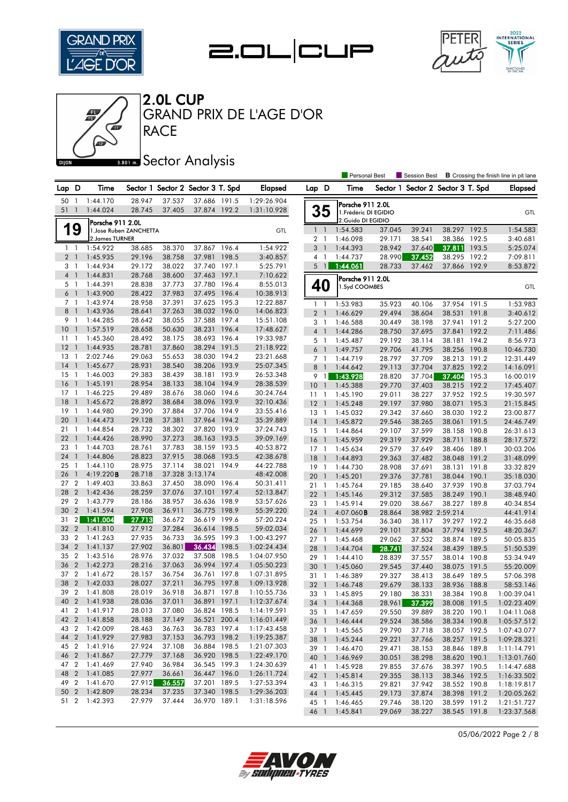







**RACE** GRAND PRIX DE L'AGE D'OR

### **Bana** Sector Analysis

|                |                |                  |                         |        |                                   |       |                |                 |                | <b>Personal Best</b>  |          | <b>Session Best</b>      |                 |       | <b>B</b> Crossing the finish line in pit lane |
|----------------|----------------|------------------|-------------------------|--------|-----------------------------------|-------|----------------|-----------------|----------------|-----------------------|----------|--------------------------|-----------------|-------|-----------------------------------------------|
| Lap D          |                | Time             |                         |        | Sector 1 Sector 2 Sector 3 T. Spd |       | <b>Elapsed</b> | Lap D           |                | Time                  | Sector 1 | Sector 2 Sector 3 T. Spd |                 |       | <b>Elapsed</b>                                |
| 50             | -1             | 1:44.170         | 28.947                  | 37.537 | 37.686 191.5                      |       | 1:29:26.904    |                 |                | Porsche 911 2.0L      |          |                          |                 |       |                                               |
| 51             | $\overline{1}$ | 1:44.024         | 28.745                  | 37.405 | 37.874 192.2                      |       | 1:31:10.928    |                 | 35             | 1. Frédéric DI EGIDIO |          |                          |                 |       | GTL                                           |
|                |                | Porsche 911 2.0L |                         |        |                                   |       |                |                 |                | 2.Guido DI EGIDIO     |          |                          |                 |       |                                               |
|                | 19             |                  | 1. Jose Ruben ZANCHETTA |        |                                   |       | GTL            |                 | $1\quad$       | 1:54.583              | 37.045   | 39.241                   | 38.297 192.5    |       | 1:54.583                                      |
|                |                | 2. James TURNER  |                         |        |                                   |       |                |                 | 2 <sub>1</sub> | 1:46.098              | 29.171   | 38.541                   | 38.386 192.5    |       | 3:40.681                                      |
| $1\quad$       |                | 1:54.922         | 38.685                  | 38.370 | 37.867 196.4                      |       | 1:54.922       |                 | 3 <sup>1</sup> | 1:44.393              | 28.942   | 37.640                   | 37.811 193.5    |       | 5:25.074                                      |
| 2 <sub>1</sub> |                | 1:45.935         | 29.196                  | 38.758 | 37.981                            | 198.5 | 3:40.857       | 4               | $\overline{1}$ | 1:44.737              | 28.990   | 37.452                   | 38.295          | 192.2 | 7:09.811                                      |
| 3 1            |                | 1:44.934         | 29.172                  | 38.022 | 37.740 197.1                      |       | 5:25.791       |                 | 5 <sub>1</sub> | 1:44.061              | 28.733   | 37.462                   | 37.866 192.9    |       | 8:53.872                                      |
| 4 <sup>1</sup> |                | 1:44.831         | 28.768                  | 38.600 | 37.463 197.1                      |       | 7:10.622       |                 |                | Porsche 911 2.0L      |          |                          |                 |       |                                               |
| 5 <sub>1</sub> |                | 1:44.391         | 28.838                  | 37.773 | 37.780 196.4                      |       | 8:55.013       |                 | 40             | 1.Syd COOMBES         |          |                          |                 |       | GTL                                           |
| 6              | $\overline{1}$ | 1:43.900         | 28.422                  | 37.983 | 37.495 196.4                      |       | 10:38.913      |                 |                |                       |          |                          |                 |       |                                               |
| 7 <sub>1</sub> |                | 1:43.974         | 28.958                  | 37.391 | 37.625 195.3                      |       | 12:22.887      |                 | $1\quad$       | 1:53.983              | 35.923   | 40.106                   | 37.954 191.5    |       | 1:53.983                                      |
| 8              | $\mathbf{1}$   | 1:43.936         | 28.641                  | 37.263 | 38.032 196.0                      |       | 14:06.823      |                 | 2 <sub>1</sub> | 1:46.629              | 29.494   | 38.604                   | 38.531 191.8    |       | 3:40.612                                      |
| 9              | $\overline{1}$ | 1:44.285         | 28.642                  | 38.055 | 37.588 197.4                      |       | 15:51.108      |                 | $3-1$          | 1:46.588              | 30.449   | 38.198                   | 37.941 191.2    |       | 5:27.200                                      |
| 10             | -1             | 1:57.519         | 28.658                  | 50.630 | 38.231 196.4                      |       | 17:48.627      |                 | 4 <sup>1</sup> | 1:44.286              | 28.750   | 37.695                   | 37.841 192.2    |       | 7:11.486                                      |
| 11             | $\overline{1}$ | 1:45.360         | 28.492                  | 38.175 | 38.693 196.4                      |       | 19:33.987      |                 | 5 <sub>1</sub> | 1:45.487              | 29.192   | 38.114                   | 38.181 194.2    |       | 8:56.973                                      |
| 12             | $\overline{1}$ | 1:44.935         | 28.781                  | 37.860 | 38.294 191.5                      |       | 21:18.922      | 6               | $\overline{1}$ | 1:49.757              | 29.706   | 41.795                   | 38.256 190.8    |       | 10:46.730                                     |
| 13             | 1              | 2:02.746         | 29.063                  | 55.653 | 38.030 194.2                      |       | 23:21.668      |                 | 7 <sub>1</sub> | 1:44.719              | 28.797   | 37.709                   | 38.213 191.2    |       | 12:31.449                                     |
| 14             | $\mathbf{1}$   | 1:45.677         | 28.931                  | 38.540 | 38.206 193.9                      |       | 25:07.345      | 8               | $\overline{1}$ | 1:44.642              | 29.113   | 37.704                   | 37.825 192.2    |       | 14:16.091                                     |
| 15             | $\overline{1}$ | 1:46.003         | 29.383                  | 38.439 | 38.181 193.9                      |       | 26:53.348      | 9               | $\overline{1}$ | 1:43.928              | 28.820   | 37.704                   | 37.404 195.3    |       | 16:00.019                                     |
| 16             | $\overline{1}$ | 1:45.191         | 28.954                  | 38.133 | 38.104 194.9                      |       | 28:38.539      | 10 <sub>1</sub> |                | 1:45.388              | 29.770   | 37.403                   | 38.215 192.2    |       | 17:45.407                                     |
| 17             | -1             | 1:46.225         | 29.489                  | 38.676 | 38.060 194.6                      |       | 30:24.764      | $11-1$          |                | 1:45.190              | 29.011   | 38.227                   | 37.952 192.5    |       | 19:30.597                                     |
| 18             | $\mathbf{1}$   | 1:45.672         | 28.892                  | 38.684 | 38.096 193.9                      |       | 32:10.436      | 12              | $\overline{1}$ | 1:45.248              | 29.197   | 37.980                   | 38.071 195.3    |       | 21:15.845                                     |
| 19             | 1              | 1:44.980         | 29.390                  | 37.884 | 37.706 194.9                      |       | 33:55.416      | $13-1$          |                | 1:45.032              | 29.342   | 37.660                   | 38.030 192.2    |       | 23:00.877                                     |
| 20             | $\mathbf{1}$   | 1:44.473         | 29.128                  | 37.381 | 37.964 194.2                      |       | 35:39.889      | 14              | $\overline{1}$ | 1:45.872              | 29.546   | 38.265                   | 38.061 191.5    |       | 24:46.749                                     |
| 21             | $\overline{1}$ | 1:44.854         | 28.732                  | 38.302 | 37.820 193.9                      |       | 37:24.743      | 15              | $\overline{1}$ | 1:44.864              | 29.107   | 37.599                   | 38.158 190.8    |       | 26:31.613                                     |
| 22             | $\overline{1}$ | 1:44.426         | 28.990                  | 37.273 | 38.163 193.5                      |       | 39:09.169      | $16-1$          |                | 1:45.959              | 29.319   | 37.929                   | 38.711 188.8    |       | 28:17.572                                     |
| 23             | $\mathbf{1}$   | 1:44.703         | 28.761                  | 37.783 | 38.159 193.5                      |       | 40:53.872      | $17-1$          |                | 1:45.634              | 29.579   | 37.649                   | 38.406 189.1    |       | 30:03.206                                     |
| 24             | $\overline{1}$ | 1:44.806         | 28.823                  | 37.915 | 38.068 193.5                      |       | 42:38.678      | 18              | $\overline{1}$ | 1:44.893              | 29.363   | 37.482                   | 38.048 191.2    |       | 31:48.099                                     |
| 25             | $\mathbf{1}$   | 1:44.110         | 28.975                  | 37.114 | 38.021                            | 194.9 | 44:22.788      | $19-1$          |                | 1:44.730              | 28.908   | 37.691                   | 38.131 191.8    |       | 33:32.829                                     |
| 26             | $\mathbf{1}$   | 4:19.220B        | 28.718                  |        | 37.328 3:13.174                   |       | 48:42.008      | 20              | $\overline{1}$ | 1:45.201              | 29.376   | 37.781                   | 38.044 190.1    |       | 35:18.030                                     |
| 27             | $\overline{2}$ | 1:49.403         | 33.863                  | 37.450 | 38.090 196.4                      |       | 50:31.411      | 21              | $\overline{1}$ | 1:45.764              | 29.185   | 38.640                   | 37.939 190.8    |       | 37:03.794                                     |
| 28             | $\overline{2}$ | 1:42.436         | 28.259                  | 37.076 | 37.101                            | 197.4 | 52:13.847      | $22$ 1          |                | 1:45.146              | 29.312   | 37.585                   | 38.249 190.1    |       | 38:48.940                                     |
| 29             | $\overline{2}$ | 1:43.779         | 28.186                  | 38.957 | 36.636 198.9                      |       | 53:57.626      | 23 1            |                | 1:45.914              | 29.020   | 38.667                   | 38.227 189.8    |       | 40:34.854                                     |
| 30             | $\overline{2}$ | 1:41.594         | 27.908                  | 36.911 | 36.775 198.9                      |       | 55:39.220      | 24              | $\overline{1}$ | $4:07.060$ <b>B</b>   | 28.864   |                          | 38.982 2:59.214 |       | 44:41.914                                     |
| 31             | $\mathbf{2}$   | 1:41.004         | 27.713                  | 36.672 | 36.619 199.6                      |       | 57:20.224      | 25 <sub>1</sub> |                | 1:53.754              | 36.340   | 38.117                   | 39.297 192.2    |       | 46:35.668                                     |
| 32             | $\overline{2}$ | 1:41.810         | 27.912                  | 37.284 | 36.614 198.5                      |       | 59:02.034      | 26              | $\overline{1}$ | 1:44.699              | 29.101   | 37.804                   | 37.794 192.5    |       | 48:20.367                                     |
| 33             | $\overline{2}$ | 1:41.263         | 27.935                  | 36.733 | 36.595 199.3                      |       | 1:00:43.297    | 27 <sub>1</sub> |                | 1:45.468              | 29.062   | 37.532                   | 38.874 189.5    |       | 50:05.835                                     |
| 34             | $\overline{2}$ | 1:41.137         | 27.902                  | 36.801 | 36.434                            | 198.5 | 1:02:24.434    | 28              | $\overline{1}$ | 1:44.704              | 28.741   | 37.524                   | 38.439 189.5    |       | 51:50.539                                     |
| 35             | $\overline{2}$ | 1:43.516         | 28.976                  | 37.032 | 37.508 198.5                      |       | 1:04:07.950    | 29 1            |                | 1:44.410              | 28.839   | 37.557                   | 38.014 190.8    |       | 53:34.949                                     |
| 36             | $\overline{2}$ | 1:42.273         | 28.216                  | 37.063 | 36.994 197.4                      |       | 1:05:50.223    | 30              | $\overline{1}$ | 1:45.060              | 29.545   | 37.440                   | 38.075          | 191.5 | 55:20.009                                     |
| 37             | $\overline{2}$ | 1:41.672         | 28.157                  | 36.754 | 36.761 197.8                      |       | 1:07:31.895    | 31              | -1             | 1:46.389              | 29.327   | 38.413                   | 38.649 189.5    |       | 57:06.398                                     |
| 38             | $\overline{2}$ | 1:42.033         | 28.027                  | 37.211 | 36.795 197.8                      |       | 1:09:13.928    | 32              | $\overline{1}$ | 1:46.748              | 29.679   | 38.133                   | 38.936          | 188.8 | 58:53.146                                     |
|                |                | 39 2 1:41.808    | 28.019                  | 36.918 | 36.871 197.8                      |       | 1:10:55.736    | 33              | $\overline{1}$ | 1:45.895              | 29.180   | 38.331                   | 38.384 190.8    |       | 1:00:39.041                                   |
|                |                | 40 2 1:41.938    | 28.036                  | 37.011 | 36.891 197.1                      |       | 1:12:37.674    |                 |                | 34 1 1:44.368         | 28.961   | 37.399                   | 38.008 191.5    |       | 1:02:23.409                                   |
|                |                | 41 2 1:41.917    | 28.013                  | 37.080 | 36.824 198.5                      |       | 1:14:19.591    |                 |                | 35 1 1:47.659         | 29.550   | 39.889                   | 38.220 190.1    |       | 1:04:11.068                                   |
|                |                | 42 2 1:41.858    | 28.188                  | 37.149 | 36.521 200.4                      |       | 1:16:01.449    |                 |                | 36 1 1:46.444         | 29.524   | 38.586                   | 38.334 190.8    |       | 1:05:57.512                                   |
|                |                | 43 2 1:42.009    | 28.463                  | 36.763 | 36.783 197.4                      |       | 1:17:43.458    | 37 1            |                | 1:45.565              | 29.790   | 37.718                   | 38.057 192.5    |       | 1:07:43.077                                   |
|                |                | 44 2 1:41.929    | 27.983                  | 37.153 | 36.793 198.2                      |       | 1:19:25.387    |                 |                | 38 1 1:45.244         | 29.221   | 37.766                   | 38.257 191.5    |       | 1:09:28.321                                   |
|                |                | 45 2 1:41.916    | 27.924                  | 37.108 | 36.884 198.5                      |       | 1:21:07.303    | 39 1            |                | 1:46.470              | 29.471   | 38.153                   | 38.846 189.8    |       | 1:11:14.791                                   |
|                |                | 46 2 1:41.867    | 27.779                  | 37.168 | 36.920 198.5                      |       | 1:22:49.170    | 40 1            |                | 1:46.969              | 30.051   | 38.298                   | 38.620 190.1    |       | 1:13:01.760                                   |
|                |                | 47 2 1:41.469    | 27.940                  | 36.984 | 36.545 199.3                      |       | 1:24:30.639    |                 |                | 41 1 1:45.928         | 29.855   | 37.676                   | 38.397 190.5    |       | 1:14:47.688                                   |
|                |                | 48 2 1:41.085    | 27.977                  | 36.661 | 36.447 196.0                      |       | 1:26:11.724    |                 |                | 42 1 1:45.814         | 29.355   | 38.113                   | 38.346 192.5    |       | 1:16:33.502                                   |
|                |                | 49 2 1:41.670    | 27.912                  | 36.557 | 37.201 189.5                      |       | 1:27:53.394    | 43 1            |                | 1:46.315              | 29.821   | 37.942                   | 38.552 190.8    |       | 1:18:19.817                                   |
|                |                | 50 2 1:42.809    | 28.234                  | 37.235 | 37.340 198.5                      |       | 1:29:36.203    | 44 1            |                | 1:45.445              | 29.173   | 37.874                   | 38.398 191.2    |       | 1:20:05.262                                   |
|                |                | 51 2 1:42.393    | 27.979                  | 37.444 | 36.970 189.1                      |       | 1:31:18.596    | 45 1            |                | 1:46.465              | 29.746   | 38.120                   | 38.599 191.2    |       | 1:21:51.727                                   |
|                |                |                  |                         |        |                                   |       |                | 46 1            |                | 1:45.841              | 29.069   | 38.227                   | 38.545 191.8    |       | 1:23:37.568                                   |

05/06/2022 Page 2 / 8

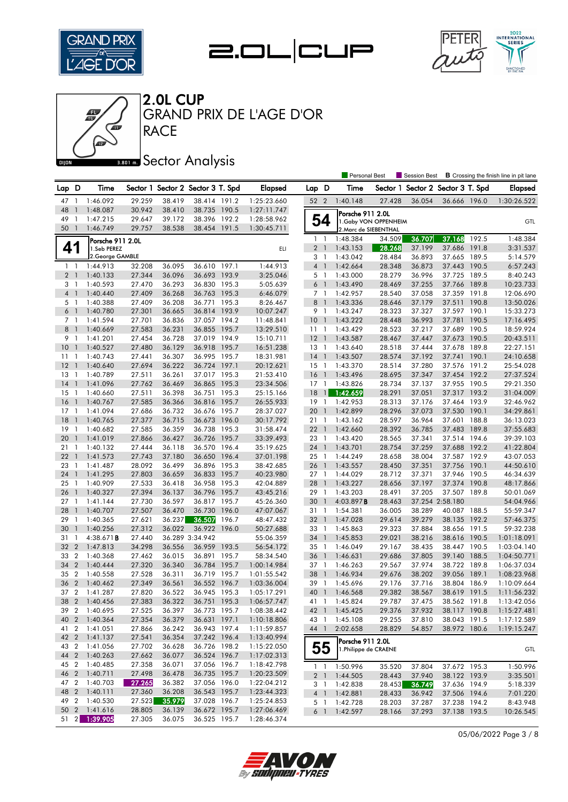







GRAND PRIX DE L'AGE D'OR

# **BRON A** Sector Analysis

|                 |                |                                |        |        |                                   |       |             |                 |                | Personal Best         |                       | Session Best                      |                 |       | <b>B</b> Crossing the finish line in pit lane |
|-----------------|----------------|--------------------------------|--------|--------|-----------------------------------|-------|-------------|-----------------|----------------|-----------------------|-----------------------|-----------------------------------|-----------------|-------|-----------------------------------------------|
| Lap D           |                | Time                           |        |        | Sector 1 Sector 2 Sector 3 T. Spd |       | Elapsed     | Lap D           |                | Time                  |                       | Sector 1 Sector 2 Sector 3 T. Spd |                 |       | Elapsed                                       |
| 47 1            |                | 1:46.092                       | 29.259 | 38.419 | 38.414 191.2                      |       | 1:25:23.660 | 52 2            |                | 1:40.148              | 27.428                | 36.054                            | 36.666 196.0    |       | 1:30:26.522                                   |
| 48              |                | 1:48.087                       | 30.942 | 38.410 | 38.735 190.5                      |       | 1:27:11.747 |                 |                | Porsche 911 2.0L      |                       |                                   |                 |       |                                               |
| 49              | $\mathbf{1}$   | 1:47.215                       | 29.647 | 39.172 | 38.396 192.2                      |       | 1:28:58.962 |                 | 54             |                       | 1. Gaby VON OPPENHEIM |                                   |                 |       | GTL                                           |
| 50              | $\overline{1}$ | 1:46.749                       | 29.757 | 38.538 | 38.454 191.5                      |       | 1:30:45.711 |                 |                |                       | 2. Marc de SIEBENTHAL |                                   |                 |       |                                               |
|                 |                | Porsche 911 2.0L               |        |        |                                   |       |             |                 | $1\quad$       | 1:48.384              | 34.509                | 36.707                            | 37.168          | 192.5 | 1:48.384                                      |
| 41              |                | 1.Seb PEREZ                    |        |        |                                   |       | ELI         |                 | 2 <sub>1</sub> | 1:43.153              | 28.268                | 37.199                            | 37.686          | 191.8 | 3:31.537                                      |
|                 |                | 2. George GAMBLE               |        |        |                                   |       |             |                 | 3 <sub>1</sub> | 1:43.042              | 28.484                | 36.893                            | 37.665 189.5    |       | 5:14.579                                      |
|                 | $1\quad$       | 1:44.913                       | 32.208 | 36.095 | 36.610 197.1                      |       | 1:44.913    |                 | 4 <sup>1</sup> | 1:42.664              | 28.348                | 36.873                            | 37.443 190.5    |       | 6:57.243                                      |
|                 | 2 <sub>1</sub> | 1:40.133                       | 27.344 | 36.096 | 36.693 193.9                      |       | 3:25.046    |                 | 5 <sub>1</sub> | 1:43.000              | 28.279                | 36.996                            | 37.725 189.5    |       | 8:40.243                                      |
| 3 <sub>1</sub>  |                | 1:40.593                       | 27.470 | 36.293 | 36.830 195.3                      |       | 5:05.639    |                 | 6 <sup>1</sup> | 1:43.490              | 28.469                | 37.255                            | 37.766 189.8    |       | 10:23.733                                     |
| 4 <sub>1</sub>  |                | 1:40.440                       | 27.409 | 36.268 | 36.763 195.3                      |       | 6:46.079    |                 | 7 <sub>1</sub> | 1:42.957              | 28.540                | 37.058                            | 37.359 191.8    |       | 12:06.690                                     |
| 5 <sub>1</sub>  |                | 1:40.388                       | 27.409 | 36.208 | 36.771                            | 195.3 | 8:26.467    |                 | 8 <sup>1</sup> | 1:43.336              | 28.646                | 37.179                            | 37.511 190.8    |       | 13:50.026                                     |
| 6 <sup>1</sup>  |                | 1:40.780                       | 27.301 | 36.665 | 36.814 193.9                      |       | 10:07.247   |                 | 9 1            | 1:43.247              | 28.323                | 37.327                            | 37.597 190.1    |       | 15:33.273                                     |
| 7 <sub>1</sub>  |                | 1:41.594                       | 27.701 | 36.836 | 37.057 194.2                      |       | 11:48.841   | 10 <sub>1</sub> |                | 1:43.222              | 28.448                | 36.993                            | 37.781          | 190.5 | 17:16.495                                     |
| 8 <sup>1</sup>  |                | 1:40.669                       | 27.583 | 36.231 | 36.855 195.7                      |       | 13:29.510   | 111             |                | 1:43.429              | 28.523                | 37.217                            | 37.689 190.5    |       | 18:59.924                                     |
| 9 1             |                | 1:41.201                       | 27.454 | 36.728 | 37.019 194.9                      |       | 15:10.711   | $12-1$          |                | 1:43.587              | 28.467                | 37.447                            | 37.673 190.5    |       | 20:43.511                                     |
| 10              | $\mathbf{1}$   | 1:40.527                       | 27.480 | 36.129 | 36.918 195.7                      |       | 16:51.238   | $13-1$          |                | 1:43.640              | 28.518                | 37.444                            | 37.678 189.8    |       | 22:27.151                                     |
| 11              | $\mathbf{1}$   | 1:40.743                       | 27.441 | 36.307 | 36.995 195.7                      |       | 18:31.981   | $14$ 1          |                | 1:43.507              | 28.574                | 37.192                            | 37.741 190.1    |       | 24:10.658                                     |
| 12              | $\overline{1}$ | 1:40.640                       | 27.694 | 36.222 | 36.724 197.1                      |       | 20:12.621   | $15-1$          |                | 1:43.370              | 28.514                | 37.280                            | 37.576 191.2    |       | 25:54.028                                     |
| 13              | $\overline{1}$ | 1:40.789                       | 27.511 | 36.261 | 37.017 195.3                      |       | 21:53.410   | $16-1$          |                | 1:43.496              | 28.695                | 37.347                            | 37.454 192.2    |       | 27:37.524                                     |
| 14              | $\overline{1}$ | 1:41.096                       | 27.762 | 36.469 | 36.865 195.3                      |       | 23:34.506   | $17-1$          |                | 1:43.826              | 28.734                | 37.137                            | 37.955 190.5    |       | 29:21.350                                     |
| 15              | -1             | 1:40.660                       | 27.511 | 36.398 | 36.751 195.3                      |       | 25:15.166   | 18              | $\mathbf{1}$   | 1:42.659              | 28.291                | 37.051                            | 37.317 193.2    |       | 31:04.009                                     |
| 16              | $\mathbf{1}$   | 1:40.767                       | 27.585 | 36.366 | 36.816 195.7                      |       | 26:55.933   | 19              | $\overline{1}$ | 1:42.953              | 28.313                | 37.176                            | 37.464 193.9    |       | 32:46.962                                     |
| 17              | $\mathbf{1}$   | 1:41.094                       | 27.686 | 36.732 | 36.676 195.7                      |       | 28:37.027   | 20              | $\overline{1}$ | 1:42.899              | 28.296                | 37.073                            | 37.530 190.1    |       | 34:29.861                                     |
| 18              | $\overline{1}$ | 1:40.765                       | 27.377 | 36.715 | 36.673 196.0                      |       | 30:17.792   | 21 1            |                | 1:43.162              | 28.597                | 36.964                            | 37.601 188.8    |       | 36:13.023                                     |
| 19              | $\overline{1}$ | 1:40.682                       | 27.585 | 36.359 | 36.738 195.3                      |       | 31:58.474   | 22              | $\overline{1}$ | 1:42.660              | 28.392                | 36.785                            | 37.483          | 189.8 | 37:55.683                                     |
| 20              | $\overline{1}$ | 1:41.019                       | 27.866 | 36.427 | 36.726 195.7                      |       | 33:39.493   | 23 1            |                | 1:43.420              | 28.565                | 37.341                            | 37.514 194.6    |       | 39:39.103                                     |
| 21              | $\overline{1}$ | 1:40.132                       | 27.444 | 36.118 | 36.570 196.4                      |       | 35:19.625   | 24 1            |                | 1:43.701              | 28.754                | 37.259                            | 37.688          | 192.2 | 41:22.804                                     |
| 22              | $\overline{1}$ | 1:41.573                       | 27.743 | 37.180 | 36.650 196.4                      |       | 37:01.198   | 25 1            |                | 1:44.249              | 28.658                | 38.004                            | 37.587 192.9    |       | 43:07.053                                     |
| 23              | $\mathbf{1}$   | 1:41.487                       | 28.092 | 36.499 | 36.896 195.3                      |       | 38:42.685   | 26 1            |                | 1:43.557              | 28.450                | 37.351                            | 37.756 190.1    |       | 44:50.610                                     |
| 24              | $\overline{1}$ | 1:41.295                       | 27.803 | 36.659 | 36.833 195.7                      |       | 40:23.980   | 27 1            |                | 1:44.029              | 28.712                | 37.371                            | 37.946 190.5    |       | 46:34.639                                     |
| 25              | $\overline{1}$ | 1:40.909                       | 27.533 | 36.418 | 36.958 195.3                      |       | 42:04.889   | 28              | $\overline{1}$ | 1:43.227              | 28.656                | 37.197                            | 37.374 190.8    |       | 48:17.866                                     |
| 26              | $\overline{1}$ | 1:40.327                       | 27.394 | 36.137 | 36.796 195.7                      |       | 43:45.216   | 29              | $\overline{1}$ | 1:43.203              | 28.491                | 37.205                            | 37.507 189.8    |       | 50:01.069                                     |
| 27 <sub>1</sub> |                | 1:41.144                       | 27.730 | 36.597 | 36.817 195.7                      |       | 45:26.360   | 30              | $\mathbf{1}$   | 4:03.897B             | 28.463                |                                   | 37.254 2:58.180 |       | 54:04.966                                     |
| 28              | $\mathbf{1}$   | 1:40.707                       | 27.507 | 36.470 | 36.730 196.0                      |       | 47:07.067   | 31 1            |                | 1:54.381              | 36.005                | 38.289                            | 40.087 188.5    |       | 55:59.347                                     |
| 29              | $\mathbf{1}$   | 1:40.365                       | 27.621 | 36.237 | 36.507                            | 196.7 | 48:47.432   | 32 <sub>1</sub> |                | 1:47.028              | 29.614                | 39.279                            | 38.135 192.2    |       | 57:46.375                                     |
| 30              | $\overline{1}$ | 1:40.256                       | 27.312 | 36.022 | 36.922 196.0                      |       | 50:27.688   | 33 1            |                | 1:45.863              | 29.323                | 37.884                            | 38.656 191.5    |       | 59:32.238                                     |
| 31              | $\overline{1}$ | $4:38.671$ B                   | 27.440 |        | 36.289 3:34.942                   |       | 55:06.359   | 34 1            |                | 1:45.853              | 29.021                | 38.216                            | 38.616          | 190.5 | 1:01:18.091                                   |
| 32              | $\overline{2}$ | 1:47.813                       | 34.298 | 36.556 | 36.959 193.5                      |       | 56:54.172   | 35 1            |                | 1:46.049              | 29.167                | 38.435                            | 38.447 190.5    |       | 1:03:04.140                                   |
| 33              | $\overline{2}$ | 1:40.368                       | 27.462 | 36.015 | 36.891                            | 195.7 | 58:34.540   | 36              | $\overline{1}$ | 1:46.631              | 29.686                | 37.805                            | 39.140          | 188.5 | 1:04:50.771                                   |
| 34              | $\overline{2}$ | 1:40.444                       | 27.320 | 36.340 | 36.784 195.7                      |       | 1:00:14.984 | 37 1            |                | 1:46.263              | 29.567                | 37.974                            | 38.722 189.8    |       | 1:06:37.034                                   |
| 35              | $\overline{2}$ | 1:40.558                       | 27.528 | 36.311 | 36.719 195.7                      |       | 1:01:55.542 | 38              | $\overline{1}$ | 1:46.934              | 29.676                | 38.202                            | 39.056          | 189.1 | 1:08:23.968                                   |
| 36              | $\overline{2}$ | 1:40.462                       | 27.349 | 36.561 | 36.552 196.7                      |       | 1:03:36.004 | 39              | $\overline{1}$ | 1:45.696              | 29.176                | 37.716                            | 38.804          | 186.9 | 1:10:09.664                                   |
|                 |                | 37 2 1:41.287                  | 27.820 | 36.522 | 36.945 195.3                      |       | 1:05:17.291 | 40 1            |                | 1:46.568              | 29.382                | 38.567                            | 38.619 191.5    |       | 1:11:56.232                                   |
|                 |                | 38 2 1:40.456                  | 27.383 | 36.322 | 36.751 195.3                      |       | 1:06:57.747 |                 |                | 41 1 1:45.824         | 29.787                | 37.475                            | 38.562 191.8    |       | 1:13:42.056                                   |
|                 |                | 39 2 1:40.695                  | 27.525 | 36.397 | 36.773 195.7                      |       | 1:08:38.442 |                 |                | 42 1 1:45.425         | 29.376                | 37.932                            | 38.117 190.8    |       | 1:15:27.481                                   |
|                 |                | 40 2 1:40.364                  | 27.354 | 36.379 | 36.631 197.1                      |       | 1:10:18.806 | 43 1            |                | 1:45.108              | 29.255                | 37.810                            | 38.043 191.5    |       | 1:17:12.589                                   |
| 41 2            |                | 1:41.051                       | 27.866 | 36.242 | 36.943 197.4                      |       | 1:11:59.857 | 44 1            |                | 2:02.658              | 28.829                | 54.857                            | 38.972 180.6    |       | 1:19:15.247                                   |
|                 |                | 42 2 1:41.137                  | 27.541 | 36.354 | 37.242 196.4                      |       | 1:13:40.994 |                 |                | Porsche 911 2.0L      |                       |                                   |                 |       |                                               |
|                 |                | 43 2 1:41.056                  | 27.702 | 36.628 | 36.726 198.2                      |       | 1:15:22.050 |                 | 55             | 1. Philippe de CRAENE |                       |                                   |                 |       | GTL                                           |
|                 |                | 44 2 1:40.263                  | 27.662 | 36.077 | 36.524 196.7                      |       | 1:17:02.313 |                 |                |                       |                       |                                   |                 |       |                                               |
| 45 2            |                | 1:40.485                       | 27.358 | 36.071 | 37.056 196.7                      |       | 1:18:42.798 |                 |                | 1 1:50.996            | 35.520                | 37.804                            | 37.672 195.3    |       | 1:50.996                                      |
|                 | 46 2           | 1:40.711                       | 27.498 | 36.478 | 36.735 195.7                      |       | 1:20:23.509 |                 |                | 2 1 1:44.505          | 28.443                | 37.940                            | 38.122 193.9    |       | 3:35.501                                      |
| 47 2            |                | 1:40.703                       | 27.265 | 36.382 | 37.056 196.0                      |       | 1:22:04.212 |                 |                | 3 1 1:42.838          | 28.453                | 36.749                            | 37.636 194.9    |       | 5:18.339                                      |
|                 |                | 48 2 1:40.111                  | 27.360 | 36.208 | 36.543 195.7                      |       | 1:23:44.323 |                 |                | 4 1 1:42.881          | 28.433                | 36.942                            | 37.506 194.6    |       | 7:01.220                                      |
|                 |                | 49 2 1:40.530                  | 27.523 | 35.979 | 37.028 196.7                      |       | 1:25:24.853 |                 | 5 1            | 1:42.728              | 28.203                | 37.287                            | 37.238 194.2    |       | 8:43.948                                      |
|                 |                | 50 2 1:41.616<br>51 2 1:39.905 | 28.805 | 36.139 | 36.672 195.7                      |       | 1:27:06.469 |                 |                | 6 1 1:42.597          | 28.166                | 37.293                            | 37.138 193.5    |       | 10:26.545                                     |
|                 |                |                                | 27.305 | 36.075 | 36.525 195.7                      |       | 1:28:46.374 |                 |                |                       |                       |                                   |                 |       |                                               |

05/06/2022 Page 3 / 8

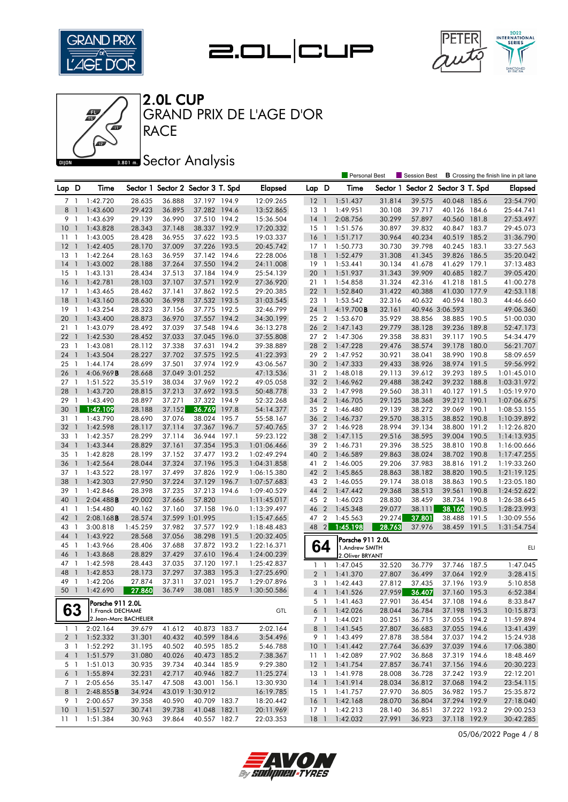







GRAND PRIX DE L'AGE D'OR

### **Bana** Sector Analysis

|          |                              |                                             |                  |                  |                                   |       |                            |                |                | <b>Personal Best</b>         |                  | Session Best             |                              |       | <b>B</b> Crossing the finish line in pit lane |
|----------|------------------------------|---------------------------------------------|------------------|------------------|-----------------------------------|-------|----------------------------|----------------|----------------|------------------------------|------------------|--------------------------|------------------------------|-------|-----------------------------------------------|
| Lap D    |                              | Time                                        |                  |                  | Sector 1 Sector 2 Sector 3 T. Spd |       | <b>Elapsed</b>             | Lap D          |                | Time                         | Sector 1         | Sector 2 Sector 3 T. Spd |                              |       | Elapsed                                       |
| 71       |                              | 1:42.720                                    | 28.635           | 36.888           | 37.197 194.9                      |       | 12:09.265                  | $12-1$         |                | 1:51.437                     | 31.814           | 39.575                   | 40.048 185.6                 |       | 23:54.790                                     |
| 8        | $\mathbf{1}$                 | 1:43.600                                    | 29.423           | 36.895           | 37.282 194.6                      |       | 13:52.865                  | 13             | $\overline{1}$ | 1:49.951                     | 30.108           | 39.717                   | 40.126 184.6                 |       | 25:44.741                                     |
| 9 1      |                              | 1:43.639                                    | 29.139           | 36.990           | 37.510 194.2                      |       | 15:36.504                  | 14             | $\overline{1}$ | 2:08.756                     | 30.299           | 57.897                   | 40.560 181.8                 |       | 27:53.497                                     |
| 10       | $\mathbf{1}$                 | 1:43.828                                    | 28.343           | 37.148           | 38.337 192.9                      |       | 17:20.332                  | 15             | $\overline{1}$ | 1:51.576                     | 30.897           | 39.832                   | 40.847 183.7                 |       | 29:45.073                                     |
| $11-1$   |                              | 1:43.005                                    | 28.428           | 36.955           | 37.622 193.5                      |       | 19:03.337                  | 16             | $\overline{1}$ | 1:51.717                     | 30.964           | 40.234                   | 40.519 185.2                 |       | 31:36.790                                     |
| 12       | $\overline{1}$               | 1:42.405                                    | 28.170           | 37.009           | 37.226 193.5                      |       | 20:45.742                  | $17-1$         |                | 1:50.773                     | 30.730           | 39.798                   | 40.245 183.1                 |       | 33:27.563                                     |
| 13       | - 1                          | 1:42.264                                    | 28.163           | 36.959           | 37.142 194.6                      |       | 22:28.006                  | 18             | $\overline{1}$ | 1:52.479                     | 31.308           | 41.345                   | 39.826 186.5                 |       | 35:20.042                                     |
| 14       | $\mathbf{1}$                 | 1:43.002                                    | 28.188           | 37.264           | 37.550 194.2                      |       | 24:11.008                  | 19             | $\overline{1}$ | 1:53.441                     | 30.134           | 41.678                   | 41.629 179.1                 |       | 37:13.483                                     |
| 15       | $\mathbf{1}$                 | 1:43.131                                    | 28.434           | 37.513           | 37.184 194.9                      |       | 25:54.139                  | 20             | $\mathbf{1}$   | 1:51.937                     | 31.343           | 39.909                   | 40.685 182.7                 |       | 39:05.420                                     |
| 16       | $\overline{1}$               | 1:42.781                                    | 28.103           | 37.107           | 37.571 192.9                      |       | 27:36.920                  | $21 \quad 1$   |                | 1:54.858                     | 31.324           | 42.316                   | 41.218 181.5                 |       | 41:00.278                                     |
| 17       | $\overline{1}$               | 1:43.465                                    | 28.462           | 37.141           | 37.862 192.5                      |       | 29:20.385                  | 22             | $\overline{1}$ | 1:52.840                     | 31.422           | 40.388                   | 41.030 177.9                 |       | 42:53.118                                     |
| 18       | $\overline{1}$               | 1:43.160                                    | 28.630           | 36.998           | 37.532 193.5                      |       | 31:03.545                  | 23 1           |                | 1:53.542                     | 32.316           | 40.632                   | 40.594 180.3                 |       | 44:46.660                                     |
| 19       | -1                           | 1:43.254                                    | 28.323           | 37.156           | 37.775 192.5                      |       | 32:46.799                  | 24 1           |                | 4:19.700B                    | 32.161           |                          | 40.946 3:06.593              |       | 49:06.360                                     |
| 20       | $\mathbf{1}$                 | 1:43.400                                    | 28.873           | 36.970           | 37.557 194.2                      |       | 34:30.199                  | 25 2           |                | 1:53.670                     | 35.929           | 38.856                   | 38.885 190.5                 |       | 51:00.030                                     |
| 21       | -1                           | 1:43.079                                    | 28.492           | 37.039           | 37.548 194.6                      |       | 36:13.278                  | 26 2           |                | 1:47.143                     | 29.779           | 38.128                   | 39.236 189.8                 |       | 52:47.173                                     |
| 22       | $\overline{1}$               | 1:42.530                                    | 28.452           | 37.033           | 37.045 196.0                      |       | 37:55.808                  | 27 2           |                | 1:47.306                     | 29.358           | 38.831                   | 39.117 190.5                 |       | 54:34.479                                     |
| 23       | - 1                          | 1:43.081                                    | 28.112           | 37.338           | 37.631 194.2                      |       | 39:38.889                  | 28             | $\overline{2}$ | 1:47.228                     | 29.476           | 38.574                   | 39.178 180.0                 |       | 56:21.707                                     |
| 24       | $\overline{1}$               | 1:43.504                                    | 28.227           | 37.702           | 37.575                            | 192.5 | 41:22.393                  | 29             | $\overline{2}$ | 1:47.952                     | 30.921           | 38.041                   | 38.990 190.8                 |       | 58:09.659                                     |
| 25       | $\overline{1}$               | 1:44.174                                    | 28.699           | 37.501           | 37.974 192.9                      |       | 43:06.567                  | 30             | $\overline{2}$ | 1:47.333                     | 29.433           | 38.926                   | 38.974 191.5                 |       | 59:56.992                                     |
| 26       | $\mathbf{1}$                 | 4:06.969B                                   | 28.668           |                  | 37.049 3:01.252                   |       | 47:13.536                  | 31 2           |                | 1:48.018                     | 29.113           | 39.612                   | 39.293 189.5                 |       | 1:01:45.010                                   |
| 27       | $\mathbf{1}$                 | 1:51.522                                    | 35.519           | 38.034           | 37.969 192.2                      |       | 49:05.058                  | 32 2           |                | 1:46.962                     | 29.488           | 38.242                   | 39.232 188.8                 |       | 1:03:31.972                                   |
| 28       | $\mathbf{1}$                 | 1:43.720                                    | 28.815           | 37.213           | 37.692 193.5                      |       | 50:48.778                  | 33 2           |                | 1:47.998                     | 29.560           | 38.311                   | 40.127 191.5                 |       | 1:05:19.970                                   |
| 29       | $\mathbf{1}$                 | 1:43.490                                    | 28.897           | 37.271           | 37.322 194.9                      |       | 52:32.268                  | 34 2           |                | 1:46.705                     | 29.125           | 38.368                   | 39.212 190.1                 |       | 1:07:06.675                                   |
| 30       | $\mathbf{1}$                 | 1:42.109                                    | 28.188           | 37.152           | 36.769                            | 197.8 | 54:14.377                  | 35 2           |                | 1:46.480                     | 29.139           | 38.272                   | 39.069 190.1                 |       | 1:08:53.155                                   |
| 31       | -1                           | 1:43.790                                    | 28.690           | 37.076           | 38.024 195.7                      |       | 55:58.167                  | 36 2           |                | 1:46.737                     | 29.570           | 38.315                   | 38.852 190.8                 |       | 1:10:39.892                                   |
| 32       | $\overline{1}$               | 1:42.598                                    | 28.117           | 37.114           | 37.367 196.7                      |       | 57:40.765                  | 37 2           |                | 1:46.928                     | 28.994           | 39.134                   | 38.800 191.2                 |       | 1:12:26.820                                   |
| 33       | 1                            | 1:42.357                                    | 28.299           | 37.114           | 36.944 197.1                      |       | 59:23.122                  | 38 2           |                | 1:47.115                     | 29.516           | 38.595                   | 39.004 190.5                 |       | 1:14:13.935                                   |
| 34       | $\mathbf{1}$                 | 1:43.344                                    | 28.829           | 37.161           | 37.354 195.3                      |       | 1:01:06.466                | 39             | $\overline{2}$ | 1:46.731                     | 29.396           | 38.525                   | 38.810 190.8                 |       | 1:16:00.666                                   |
| 35       | - 1                          | 1:42.828                                    | 28.199           | 37.152           | 37.477 193.2                      |       | 1:02:49.294                | 40             | $\overline{2}$ | 1:46.589                     | 29.863           | 38.024                   | 38.702 190.8                 |       | 1:17:47.255                                   |
| 36       | $\overline{1}$               | 1:42.564                                    | 28.044           | 37.324           | 37.196 195.3                      |       | 1:04:31.858                | 41 2           |                | 1:46.005                     | 29.206           | 37.983                   | 38.816 191.2                 |       | 1:19:33.260                                   |
| 37       | $\mathbf{1}$                 | 1:43.522                                    | 28.197           | 37.499           | 37.826 192.9                      |       | 1:06:15.380                | 42 2           |                | 1:45.865                     | 28.863           | 38.182                   | 38.820 190.5                 |       | 1:21:19.125                                   |
| 38       | $\overline{1}$               | 1:42.303                                    | 27.950           | 37.224           | 37.129 196.7                      |       | 1:07:57.683                | 43 2           |                | 1:46.055                     | 29.174           | 38.018                   | 38.863 190.5                 |       | 1:23:05.180                                   |
| 39       | 1                            | 1:42.846                                    | 28.398           | 37.235           | 37.213 194.6                      |       | 1:09:40.529                | 44 2           |                | 1:47.442                     | 29.368           | 38.513                   | 39.561 190.8                 |       | 1:24:52.622                                   |
| 40       | $\mathbf{1}$                 | 2:04.488B                                   | 29.002           | 37.666           | 57.820                            |       | 1:11:45.017                | 45 2           |                | 1:46.023                     | 28.830           | 38.459                   | 38.734 190.8                 |       | 1:26:38.645                                   |
| 41       | -1                           | 1:54.480                                    | 40.162           | 37.160           | 37.158 196.0                      |       | 1:13:39.497                | 46 2           |                | 1:45.348                     | 29.077           | 38.111                   | 38.160                       | 190.5 | 1:28:23.993                                   |
| 42       | -1                           | 2:08.168B                                   | 28.574           |                  | 37.599 1:01.995                   |       | 1:15:47.665                | 47 2           |                | 1:45.563                     | 29.274           | 37.801                   | 38.488 191.5                 |       | 1:30:09.556                                   |
| 43<br>44 | -1<br>$\mathbf{1}$           | 3:00.818                                    | 1:45.259         | 37.982           | 37.577 192.9                      |       | 1:18:48.483                | 48 2           |                | 1:45.198                     | 28.763           | 37.976                   | 38.459 191.5                 |       | 1:31:54.754                                   |
|          |                              | 1:43.922<br>1:43.966                        | 28.568           | 37.056<br>37.688 | 38.298 191.5                      |       | 1:20:32.405<br>1:22:16.371 |                |                | Porsche 911 2.0L             |                  |                          |                              |       |                                               |
| 45<br>46 | $\mathbf{1}$<br>$\mathbf{1}$ | 1:43.868                                    | 28.406<br>28.829 | 37.429           | 37.872 193.2<br>37.610 196.4      |       | 1:24:00.239                |                | 64             | 1.Andrew SMITH               |                  |                          |                              |       | ELI                                           |
| 47       | $\overline{1}$               | 1:42.598                                    | 28.443           | 37.035           | 37.120 197.1                      |       | 1:25:42.837                |                |                | 2. Oliver BRYANT             |                  |                          |                              |       |                                               |
| 48       | $\overline{1}$               | 1:42.853                                    | 28.173           | 37.297           | 37.383                            | 195.3 | 1:27:25.690                | $1\quad$       |                | 1:47.045                     | 32.520           | 36.779                   | 37.746 187.5                 |       | 1:47.045                                      |
| 49       | -1                           | 1:42.206                                    | 27.874           | 37.311           | 37.021                            | 195.7 | 1:29:07.896                | $\overline{2}$ | $\overline{1}$ | 1:41.370                     | 27.807           | 36.499                   | 37.064 192.9                 |       | 3:28.415                                      |
| 50       | $\overline{1}$               | 1:42.690                                    | 27.860           | 36.749           | 38.081 185.9                      |       | 1:30:50.586                | 3              | $\overline{1}$ | 1:42.443                     | 27.812           | 37.435                   | 37.196 193.9                 |       | 5:10.858                                      |
|          |                              |                                             |                  |                  |                                   |       |                            | 4 1            |                | 1:41.526                     | 27.959           | 36.407<br>36.454         | 37.160 195.3                 |       | 6:52.384                                      |
| 63       |                              | Porsche 911 2.0L                            |                  |                  |                                   |       |                            |                |                | 5 1 1:41.463<br>6 1 1:42.026 | 27.901           | 36.784                   | 37.108 194.6                 |       | 8:33.847                                      |
|          |                              | 1. Franck DECHAME<br>2. Jean-Marc BACHELIER |                  |                  |                                   |       | GTL                        | 7 1            |                | 1:44.021                     | 28.044<br>30.251 | 36.715                   | 37.198 195.3<br>37.055 194.2 |       | 10:15.873<br>11:59.894                        |
|          |                              | 2:02.164                                    | 39.679           | 41.612           | 40.873 183.7                      |       | 2:02.164                   |                |                | 8 1 1:41.545                 | 27.807           | 36.683                   | 37.055 194.6                 |       | 13:41.439                                     |
|          | $1\quad1$                    | 2 1 1:52.332                                |                  | 40.432           | 40.599 184.6                      |       | 3:54.496                   |                |                | 9 1 1:43.499                 | 27.878           | 38.584                   | 37.037 194.2                 |       | 15:24.938                                     |
|          |                              | 3 1 1:52.292                                | 31.301<br>31.195 | 40.502           | 40.595 185.2                      |       | 5:46.788                   |                |                | $10 \quad 1 \quad 1:41.442$  | 27.764           | 36.639                   | 37.039 194.6                 |       | 17:06.380                                     |
| 4 1      |                              | 1:51.579                                    | 31.080           | 40.026           | 40.473 185.2                      |       | 7:38.367                   |                |                | 11 1 1:42.089                | 27.902           | 36.868                   | 37.319 194.6                 |       | 18:48.469                                     |
| 5 1      |                              | 1:51.013                                    | 30.935           | 39.734           | 40.344 185.9                      |       | 9:29.380                   |                |                | 12 1 1:41.754                | 27.857           | 36.741                   | 37.156 194.6                 |       | 20:30.223                                     |
| 6 1      |                              | 1:55.894                                    | 32.231           | 42.717           | 40.946 182.7                      |       | 11:25.274                  |                |                | 13 1 1:41.978                | 28.008           | 36.728                   | 37.242 193.9                 |       | 22:12.201                                     |
| 7 1      |                              | 2:05.656                                    | 35.147           | 47.508           | 43.001 156.1                      |       | 13:30.930                  |                |                | 14 1 1:41.914                | 28.034           | 36.812                   | 37.068 194.2                 |       | 23:54.115                                     |
|          |                              | 8 1 2:48.855 <b>B</b>                       | 34.924           |                  | 43.019 1:30.912                   |       | 16:19.785                  |                |                | 15 1 1:41.757                | 27.970           | 36.805                   | 36.982 195.7                 |       | 25:35.872                                     |
| 9 1      |                              | 2:00.657                                    | 39.358           | 40.590           | 40.709 183.7                      |       | 18:20.442                  |                |                | 16 1 1:42.168                | 28.070           | 36.804                   | 37.294 192.9                 |       | 27:18.040                                     |
|          |                              | 10 1 1:51.527                               | 30.741           | 39.738           | 41.048 182.1                      |       | 20:11.969                  |                |                | 17 1 1:42.213                | 28.140           | 36.851                   | 37.222 193.2                 |       | 29:00.253                                     |
|          |                              | 11 1 1:51.384                               | 30.963           | 39.864           | 40.557 182.7                      |       | 22:03.353                  |                |                | 18 1 1:42.032                | 27.991           | 36.923                   | 37.118 192.9                 |       | 30:42.285                                     |

05/06/2022 Page 4 / 8

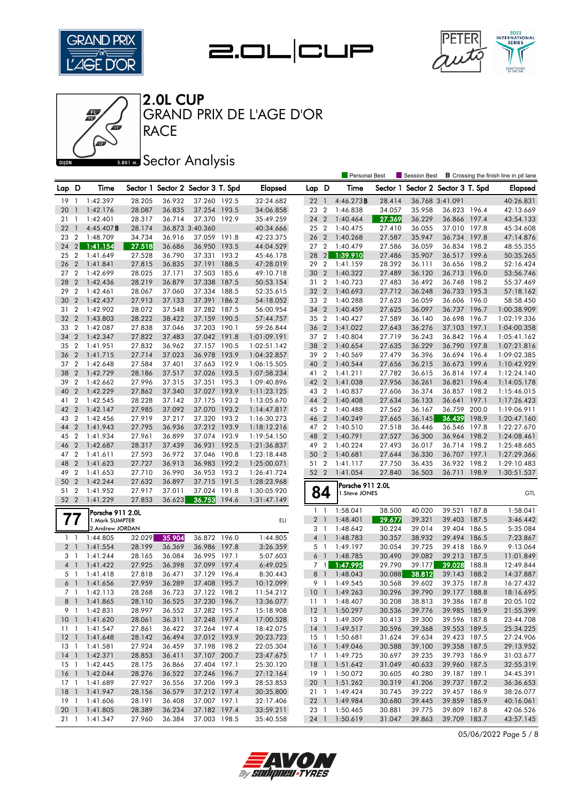







GRAND PRIX DE L'AGE D'OR

### **Bana** Sector Analysis

|                 |                |                                    |        |        |                                   |       |                |                                  |                | <b>Personal Best</b> |                  | Session Best             |                              |       | <b>B</b> Crossing the finish line in pit lane |
|-----------------|----------------|------------------------------------|--------|--------|-----------------------------------|-------|----------------|----------------------------------|----------------|----------------------|------------------|--------------------------|------------------------------|-------|-----------------------------------------------|
| Lap D           |                | Time                               |        |        | Sector 1 Sector 2 Sector 3 T. Spd |       | <b>Elapsed</b> | Lap D                            |                | Time                 | Sector 1         | Sector 2 Sector 3 T. Spd |                              |       | Elapsed                                       |
| 19              | - 1            | 1:42.397                           | 28.205 | 36.932 | 37.260 192.5                      |       | 32:24.682      | 221                              |                | 4:46.273B            | 28.414           |                          | 36.768 3:41.091              |       | 40:26.831                                     |
| 20              | $\mathbf{1}$   | 1:42.176                           | 28.087 | 36.835 | 37.254 193.5                      |       | 34:06.858      | 23 2                             |                | 1:46.838             | 34.057           | 35.958                   | 36.823 196.4                 |       | 42:13.669                                     |
| 21              | -1             | 1:42.401                           | 28.317 | 36.714 | 37.370 192.9                      |       | 35:49.259      | 24 2                             |                | 1:40.464             | 27.369           | 36.229                   | 36.866 197.4                 |       | 43:54.133                                     |
| 22              | $\overline{1}$ | $4:45.407$ <b>B</b>                | 28.174 |        | 36.873 3:40.360                   |       | 40:34.666      | 25 2                             |                | 1:40.475             | 27.410           | 36.055                   | 37.010 197.8                 |       | 45:34.608                                     |
| 23              | $\overline{2}$ | 1:48.709                           | 34.734 | 36.916 | 37.059 191.8                      |       | 42:23.375      | 26 <sub>2</sub>                  |                | 1:40.268             | 27.587           | 35.947                   | 36.734 197.8                 |       | 47:14.876                                     |
| 24              | 2              | 1:41.154                           | 27.518 | 36.686 | 36.950 193.5                      |       | 44:04.529      | 27 2                             |                | 1:40.479             | 27.586           | 36.059                   | 36.834 198.2                 |       | 48:55.355                                     |
| 25              | $\overline{2}$ | 1:41.649                           | 27.528 | 36.790 | 37.331 193.2                      |       | 45:46.178      | 28                               | $\overline{2}$ | 1:39.910             | 27.486           | 35.907                   | 36.517 199.6                 |       | 50:35.265                                     |
| 26              | $\overline{2}$ | 1:41.841                           | 27.815 | 36.835 | 37.191                            | 188.5 | 47:28.019      | 29 2                             |                | 1:41.159             | 28.392           | 36.111                   | 36.656 198.2                 |       | 52:16.424                                     |
| 27              | $\overline{2}$ | 1:42.699                           | 28.025 | 37.171 | 37.503 185.6                      |       | 49:10.718      | 30                               | $\overline{2}$ | 1:40.322             | 27.489           | 36.120                   | 36.713 196.0                 |       | 53:56.746                                     |
| 28              | $\overline{2}$ | 1:42.436                           | 28.219 | 36.879 | 37.338                            | 187.5 | 50:53.154      | 31 2                             |                | 1:40.723             | 27.483           | 36.492                   | 36.748 198.2                 |       | 55:37.469                                     |
| 29              | $\overline{2}$ | 1:42.461                           | 28.067 | 37.060 | 37.334 188.5                      |       | 52:35.615      | 32 2                             |                | 1:40.693             | 27.712           | 36.248                   | 36.733 195.3                 |       | 57:18.162                                     |
| 30              | $\overline{2}$ | 1:42.437                           | 27.913 | 37.133 | 37.391 186.2                      |       | 54:18.052      | 33 2                             |                | 1:40.288             | 27.623           | 36.059                   | 36.606 196.0                 |       | 58:58.450                                     |
| 31              | $\overline{2}$ | 1:42.902                           | 28.072 | 37.548 | 37.282 187.5                      |       | 56:00.954      | 34                               | $\overline{2}$ | 1:40.459             | 27.625           | 36.097                   | 36.737                       | 196.7 | 1:00:38.909                                   |
| 32              | $\overline{2}$ | 1:43.803                           | 28.222 | 38.422 | 37.159 190.5                      |       | 57:44.757      | 35 2                             |                | 1:40.427             | 27.589           | 36.140                   | 36.698 196.7                 |       | 1:02:19.336                                   |
| 33              | $\overline{2}$ | 1:42.087                           | 27.838 | 37.046 | 37.203 190.1                      |       | 59:26.844      | 36 2                             |                | 1:41.022             | 27.643           | 36.276                   | 37.103 197.1                 |       | 1:04:00.358                                   |
| 34              | $\overline{2}$ | 1:42.347                           | 27.822 | 37.483 | 37.042 191.8                      |       | 1:01:09.191    | 37 2                             |                | 1:40.804             | 27.719           | 36.243                   | 36.842 196.4                 |       | 1:05:41.162                                   |
| 35              | $\overline{2}$ | 1:41.951                           | 27.832 | 36.962 | 37.157 190.5                      |       | 1:02:51.142    | 38                               | $\overline{2}$ | 1:40.654             | 27.635           | 36.229                   | 36.790 197.8                 |       | 1:07:21.816                                   |
| 36              | $\overline{2}$ | 1:41.715                           | 27.714 | 37.023 | 36.978                            | 193.9 | 1:04:32.857    | 39 2                             |                | 1:40.569             | 27.479           | 36.396                   | 36.694 196.4                 |       | 1:09:02.385                                   |
| 37 <sub>2</sub> |                | 1:42.648                           | 27.584 | 37.401 | 37.663 192.9                      |       | 1:06:15.505    | 40                               | $\overline{2}$ | 1:40.544             | 27.656           | 36.215                   | 36.673 199.6                 |       | 1:10:42.929                                   |
| 38              | $\overline{2}$ | 1:42.729                           | 28.186 | 37.517 | 37.026                            | 193.5 | 1:07:58.234    | 41 2                             |                | 1:41.211             | 27.782           | 36.615                   | 36.814 197.4                 |       | 1:12:24.140                                   |
| 39              | $\overline{2}$ | 1:42.662                           | 27.996 | 37.315 | 37.351 195.3                      |       | 1:09:40.896    | 42 2                             |                | 1:41.038             | 27.956           | 36.261                   | 36.821 196.4                 |       | 1:14:05.178                                   |
| 40              | $\overline{2}$ | 1:42.229                           | 27.862 | 37.340 | 37.027 193.9                      |       | 1:11:23.125    | 43 2                             |                | 1:40.837             | 27.606           | 36.374                   | 36.857 198.2                 |       | 1:15:46.015                                   |
| 41              | $\overline{2}$ | 1:42.545                           | 28.228 | 37.142 | 37.175 193.2                      |       | 1:13:05.670    | 44 2                             |                | 1:40.408             | 27.634           | 36.133                   | 36.641                       | 197.1 | 1:17:26.423                                   |
| 42              | $\overline{2}$ | 1:42.147                           | 27.985 | 37.092 | 37.070 193.2                      |       | 1:14:47.817    | 45 2                             |                | 1:40.488             | 27.562           | 36.167                   | 36.759 200.0                 |       | 1:19:06.911                                   |
| 43              | $\overline{2}$ | 1:42.456                           | 27.919 | 37.217 | 37.320 193.2                      |       | 1:16:30.273    | 46 2                             |                | 1:40.249             | 27.665           | 36.145                   | 36.439                       | 198.9 | 1:20:47.160                                   |
| 44              | $\overline{2}$ | 1:41.943                           | 27.795 | 36.936 | 37.212 193.9                      |       | 1:18:12.216    | 47 2                             |                | 1:40.510             | 27.518           | 36.446                   | 36.546 197.8                 |       | 1:22:27.670                                   |
| 45              | $\overline{2}$ | 1:41.934                           | 27.961 | 36.899 | 37.074 193.9                      |       | 1:19:54.150    | 48 2                             |                | 1:40.791             | 27.527           | 36.300                   | 36.964 198.2                 |       | 1:24:08.461                                   |
| 46              | $\overline{2}$ | 1:42.687                           | 28.317 | 37.439 | 36.931 192.5                      |       | 1:21:36.837    | 49                               | $\overline{2}$ | 1:40.224             | 27.493           | 36.017                   | 36.714 198.2                 |       | 1:25:48.685                                   |
| 47 2            |                | 1:41.611                           | 27.593 | 36.972 | 37.046 190.8                      |       | 1:23:18.448    | 50                               | $\overline{2}$ | 1:40.681             | 27.644           | 36.330                   | 36.707 197.1                 |       | 1:27:29.366                                   |
| 48              | $\overline{2}$ | 1:41.623                           | 27.727 | 36.913 | 36.983                            | 192.2 | 1:25:00.071    | 51 2                             |                | 1:41.117             | 27.750           | 36.435                   | 36.932 198.2                 |       | 1:29:10.483                                   |
| 49              | $\overline{2}$ | 1:41.653                           | 27.710 | 36.990 | 36.953 193.2                      |       | 1:26:41.724    | 52 2                             |                | 1:41.054             | 27.840           | 36.503                   | 36.711 198.9                 |       | 1:30:51.537                                   |
| 50              | $\overline{2}$ | 1:42.244                           | 27.632 | 36.897 | 37.715 191.5                      |       | 1:28:23.968    |                                  |                | Porsche 911 2.0L     |                  |                          |                              |       |                                               |
| 51              | $\overline{2}$ | 1:41.952                           | 27.917 | 37.011 | 37.024 191.8                      |       | 1:30:05.920    | 84                               |                | 1.Steve JONES        |                  |                          |                              |       | GTL                                           |
| 52 2            |                | 1:41.229                           | 27.853 | 36.623 | 36.753                            | 194.6 | 1:31:47.149    |                                  |                |                      |                  |                          |                              |       |                                               |
|                 |                | Porsche 911 2.0L                   |        |        |                                   |       |                | 1 <sup>1</sup>                   |                | 1:58.041             | 38.500           | 40.020                   | 39.521                       | 187.8 | 1:58.041                                      |
| 77              |                | 1. Mark SUMPTER<br>2.Andrew JORDAN |        |        |                                   |       | ELI            | 2 <sub>1</sub>                   |                | 1:48.401             | 29.677           | 39.321                   | 39.403 187.5                 |       | 3:46.442                                      |
| 11              |                | 1:44.805                           | 32.029 | 35.904 | 36.872 196.0                      |       | 1:44.805       | 3 <sub>1</sub><br>$\overline{4}$ | $\overline{1}$ | 1:48.642<br>1:48.783 | 30.224<br>30.357 | 39.014<br>38.932         | 39.404 186.5<br>39.494 186.5 |       | 5:35.084<br>7:23.867                          |
| 2 <sub>1</sub>  |                | 1:41.554                           | 28.199 | 36.369 | 36.986 197.8                      |       | 3:26.359       | 5 <sub>1</sub>                   |                | 1:49.197             | 30.054           | 39.725                   | 39.418 186.9                 |       | 9:13.064                                      |
| 3 1             |                | 1:41.244                           | 28.165 | 36.084 | 36.995 197.1                      |       | 5:07.603       | $6-1$                            |                | 1:48.785             | 30.490           | 39.082                   | 39.213                       | 187.5 | 11:01.849                                     |
| 4 1             |                | 1:41.422                           | 27.925 | 36.398 | 37.099 197.4                      |       | 6:49.025       | 7 1                              |                | 1:47.995             | 29.790           | 39.177                   | 39.028                       | 188.8 | 12:49.844                                     |
| 5 <sub>1</sub>  |                | 1:41.418                           | 27.818 | 36.471 | 37.129 196.4                      |       | 8:30.443       | 8                                | $\overline{1}$ | 1:48.043             | 30.088           | 38.812                   | 39.143                       | 188.2 | 14:37.887                                     |
| 6               | $\overline{1}$ | 1:41.656                           | 27.959 | 36.289 | 37.408 195.7                      |       | 10:12.099      | 9                                | $\overline{1}$ | 1:49.545             | 30.568           | 39.602                   | 39.375 187.8                 |       | 16:27.432                                     |
|                 | 7 1            | 1:42.113                           | 28.268 | 36.723 | 37.122 198.2                      |       | 11:54.212      | 10 <sub>1</sub>                  |                | 1:49.263             | 30.296           | 39.790                   | 39.177 188.8                 |       | 18:16.695                                     |
|                 |                | 8 1 1:41.865                       | 28.110 | 36.525 | 37.230 196.7                      |       | 13:36.077      |                                  |                | 11 1 1:48.407        | 30.208           | 38.813                   | 39.386 187.8                 |       | 20:05.102                                     |
|                 |                | 9 1 1:42.831                       | 28.997 | 36.552 | 37.282 195.7                      |       | 15:18.908      |                                  |                | 12 1 1:50.297        | 30.536           | 39.776                   | 39.985 185.9                 |       | 21:55.399                                     |
|                 |                | 10 1 1:41.620                      | 28.061 | 36.311 | 37.248 197.4                      |       | 17:00.528      | 13 1                             |                | 1:49.309             | 30.413           | 39.300                   | 39.596 187.8                 |       | 23:44.708                                     |
| $11 \quad 1$    |                | 1:41.547                           | 27.861 | 36.422 | 37.264 197.4                      |       | 18:42.075      |                                  |                | 14 1 1:49.517        | 30.596           | 39.368                   | 39.553 189.5                 |       | 25:34.225                                     |
|                 |                | 12 1 1:41.648                      | 28.142 | 36.494 | 37.012 193.9                      |       | 20:23.723      |                                  |                | 15 1 1:50.681        | 31.624           | 39.634                   | 39.423 187.5                 |       | 27:24.906                                     |
|                 |                | 13 1 1:41.581                      | 27.924 | 36.459 | 37.198 198.2                      |       | 22:05.304      |                                  |                | 16 1 1:49.046        | 30.588           | 39.100                   | 39.358 187.5                 |       | 29:13.952                                     |
|                 |                | 14 1 1:42.371                      | 28.853 | 36.411 | 37.107 200.7                      |       | 23:47.675      |                                  |                | 17 1 1:49.725        | 30.697           | 39.235                   | 39.793 186.9                 |       | 31:03.677                                     |
|                 |                | 15 1 1:42.445                      | 28.175 | 36.866 | 37.404 197.1                      |       | 25:30.120      |                                  |                | 18 1 1:51.642        | 31.049           | 40.633                   | 39.960 187.5                 |       | 32:55.319                                     |
|                 |                | 16 1 1:42.044                      | 28.276 | 36.522 | 37.246 196.7                      |       | 27:12.164      |                                  |                | 19 1 1:50.072        | 30.605           | 40.280                   | 39.187 189.1                 |       | 34:45.391                                     |
|                 |                | 17 1 1:41.689                      | 27.927 | 36.556 | 37.206 199.3                      |       | 28:53.853      |                                  |                | 20 1 1:51.262        | 30.319           | 41.206                   | 39.737 187.2                 |       | 36:36.653                                     |
|                 |                | 18 1 1:41.947                      | 28.156 | 36.579 | 37.212 197.4                      |       | 30:35.800      |                                  |                | 21 1 1:49.424        | 30.745           | 39.222                   | 39.457 186.9                 |       | 38:26.077                                     |
|                 |                | 19 1 1:41.606                      | 28.191 | 36.408 | 37.007 197.1                      |       | 32:17.406      |                                  |                | 22 1 1:49.984        | 30.680           | 39.445                   | 39.859 185.9                 |       | 40:16.061                                     |
|                 |                | 20 1 1:41.805                      | 28.389 | 36.234 | 37.182 197.4                      |       | 33:59.211      |                                  |                | 23 1 1:50.465        | 30.881           | 39.775                   | 39.809 187.8                 |       | 42:06.526                                     |
| $21 \quad 1$    |                | 1:41.347                           | 27.960 | 36.384 | 37.003 198.5                      |       | 35:40.558      |                                  |                | 24 1 1:50.619        | 31.047           | 39.863                   | 39.709 183.7                 |       | 43:57.145                                     |

05/06/2022 Page 5 / 8

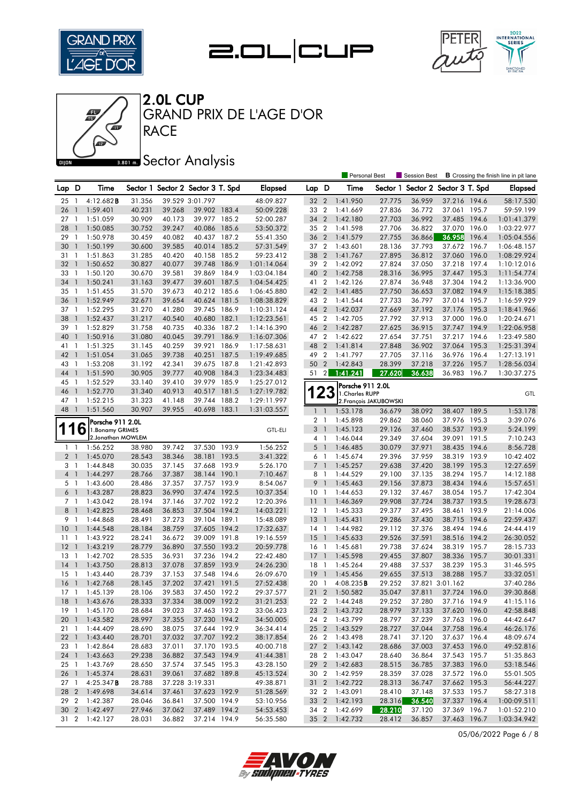







**RACE** GRAND PRIX DE L'AGE D'OR

### **Bana** Sector Analysis

|                 |                          |                                        |        |        |                                   |       |                |                     |                | <b>Personal Best</b> |                        | <b>Session Best</b>      |                              |       | <b>B</b> Crossing the finish line in pit lane |
|-----------------|--------------------------|----------------------------------------|--------|--------|-----------------------------------|-------|----------------|---------------------|----------------|----------------------|------------------------|--------------------------|------------------------------|-------|-----------------------------------------------|
| Lap D           |                          | Time                                   |        |        | Sector 1 Sector 2 Sector 3 T. Spd |       | <b>Elapsed</b> | Lap D               |                | Time                 | Sector 1               | Sector 2 Sector 3 T. Spd |                              |       | <b>Elapsed</b>                                |
| 25              | -1                       | 4:12.682B                              | 31.356 |        | 39.529 3:01.797                   |       | 48:09.827      | 32 2                |                | 1:41.950             | 27.775                 | 36.959                   | 37.216 194.6                 |       | 58:17.530                                     |
| 26              | $\overline{1}$           | 1:59.401                               | 40.231 | 39.268 | 39.902 183.4                      |       | 50:09.228      | 33 2                |                | 1:41.669             | 27.836                 | 36.772                   | 37.061 195.7                 |       | 59:59.199                                     |
| 27              | -1                       | 1:51.059                               | 30.909 | 40.173 | 39.977 185.2                      |       | 52:00.287      | 34 2                |                | 1:42.180             | 27.703                 | 36.992                   | 37.485 194.6                 |       | 1:01:41.379                                   |
| 28              | $\mathbf{1}$             | 1:50.085                               | 30.752 | 39.247 | 40.086 185.6                      |       | 53:50.372      | 35 2                |                | 1:41.598             | 27.706                 | 36.822                   | 37.070 196.0                 |       | 1:03:22.977                                   |
| 29              | $\overline{1}$           | 1:50.978                               | 30.459 | 40.082 | 40.437 187.2                      |       | 55:41.350      | 36 2                |                | 1:41.579             | 27.755                 | 36.866                   | 36.958                       | 196.4 | 1:05:04.556                                   |
| 30              | $\overline{\phantom{a}}$ | 1:50.199                               | 30.600 | 39.585 | 40.014 185.2                      |       | 57:31.549      | 37 2                |                | 1:43.601             | 28.136                 | 37.793                   | 37.672 196.7                 |       | 1:06:48.157                                   |
| 31              | $\overline{1}$           | 1:51.863                               | 31.285 | 40.420 | 40.158 185.2                      |       | 59:23.412      | 38                  | $\overline{2}$ | 1:41.767             | 27.895                 | 36.812                   | 37.060 196.0                 |       | 1:08:29.924                                   |
| 32              | $\overline{1}$           | 1:50.652                               | 30.827 | 40.077 | 39.748                            | 186.9 | 1:01:14.064    | 39 2                |                | 1:42.092             | 27.824                 | 37.050                   | 37.218 197.4                 |       | 1:10:12.016                                   |
| 33              | -1                       | 1:50.120                               | 30.670 | 39.581 | 39.869 184.9                      |       | 1:03:04.184    | 40                  | $\overline{2}$ | 1:42.758             | 28.316                 | 36.995                   | 37.447 195.3                 |       | 1:11:54.774                                   |
| 34              | $\overline{1}$           | 1:50.241                               | 31.163 | 39.477 | 39.601                            | 187.5 | 1:04:54.425    | 41 2                |                | 1:42.126             | 27.874                 | 36.948                   | 37.304 194.2                 |       | 1:13:36.900                                   |
| 35              | $\overline{1}$           | 1:51.455                               | 31.570 | 39.673 | 40.212 185.6                      |       | 1:06:45.880    | 42 2                |                | 1:41.485             | 27.750                 | 36.653                   | 37.082 194.9                 |       | 1:15:18.385                                   |
| 36              | $\overline{1}$           | 1:52.949                               | 32.671 | 39.654 | 40.624                            | 181.5 | 1:08:38.829    | 43 2                |                | 1:41.544             | 27.733                 | 36.797                   | 37.014 195.7                 |       | 1:16:59.929                                   |
| 37              | -1                       | 1:52.295                               | 31.270 | 41.280 | 39.745 186.9                      |       | 1:10:31.124    | 44 2                |                | 1:42.037             | 27.669                 | 37.192                   | 37.176 195.3                 |       | 1:18:41.966                                   |
| 38              | $\mathbf{1}$             | 1:52.437                               | 31.217 | 40.540 | 40.680 182.1                      |       | 1:12:23.561    | 45 2                |                | 1:42.705             | 27.792                 | 37.913                   | 37.000 196.0                 |       | 1:20:24.671                                   |
| 39              | -1                       | 1:52.829                               | 31.758 | 40.735 | 40.336                            | 187.2 | 1:14:16.390    | 46 2                |                | 1:42.287             | 27.625                 | 36.915                   | 37.747 194.9                 |       | 1:22:06.958                                   |
| 40              | $\mathbf{1}$             | 1:50.916                               | 31.080 | 40.045 | 39.791                            | 186.9 | 1:16:07.306    | 47 2                |                | 1:42.622             | 27.654                 | 37.751                   | 37.217 194.6                 |       | 1:23:49.580                                   |
| 41              | -1                       | 1:51.325                               | 31.145 | 40.259 | 39.921                            | 186.9 | 1:17:58.631    | 48                  | $\overline{2}$ | 1:41.814             | 27.848                 | 36.902                   | 37.064 195.3                 |       | 1:25:31.394                                   |
| 42              | $\overline{1}$           | 1:51.054                               | 31.065 | 39.738 | 40.251                            | 187.5 | 1:19:49.685    | 49                  | $\overline{2}$ | 1:41.797             | 27.705                 | 37.116                   | 36.976 196.4                 |       | 1:27:13.191                                   |
| 43              | -1                       | 1:53.208                               | 31.192 | 42.341 | 39.675 187.8                      |       | 1:21:42.893    | 50                  | $\overline{2}$ | 1:42.843             | 28.399                 | 37.218                   | 37.226 195.7                 |       | 1:28:56.034                                   |
| 44              | $\mathbf{1}$             | 1:51.590                               | 30.905 | 39.777 | 40.908                            | 184.3 | 1:23:34.483    | 51                  | $\vert$ 2      | 1:41.241             | 27.620                 | 36.638                   | 36.983 196.7                 |       | 1:30:37.275                                   |
| 45              | -1                       | 1:52.529                               | 33.140 | 39.410 | 39.979 185.9                      |       | 1:25:27.012    |                     |                |                      |                        |                          |                              |       |                                               |
| 46              | $\mathbf{1}$             | 1:52.770                               | 31.340 | 40.913 | 40.517 181.5                      |       | 1:27:19.782    |                     | 23             | Porsche 911 2.0L     |                        |                          |                              |       |                                               |
| 47              | $\overline{1}$           | 1:52.215                               | 31.323 | 41.148 | 39.744                            | 188.2 | 1:29:11.997    |                     |                | 1. Charles RUPP      | 2. François JAKUBOWSKI |                          |                              |       | GTL                                           |
| 48              | $\overline{1}$           | 1:51.560                               | 30.907 | 39.955 | 40.698                            | 183.1 | 1:31:03.557    | $\mathbf{1}$        | $\overline{1}$ | 1:53.178             | 36.679                 | 38.092                   | 38.407 189.5                 |       | 1:53.178                                      |
|                 |                          |                                        |        |        |                                   |       |                |                     |                |                      |                        |                          |                              |       |                                               |
|                 |                          | Porsche 911 2.0L                       |        |        |                                   |       |                | 2 <sub>1</sub><br>3 | $\overline{1}$ | 1:45.898<br>1:45.123 | 29.862<br>29.126       | 38.060                   | 37.976 195.3<br>38.537 193.9 |       | 3:39.076<br>5:24.199                          |
| T               | b                        | 1. Bonamy GRIMES<br>2. Jonathan MOWLEM |        |        |                                   |       | <b>GTL-ELI</b> | 4 1                 |                | 1:46.044             | 29.349                 | 37.460<br>37.604         | 39.091 191.5                 |       | 7:10.243                                      |
| 1               | - 1                      | 1:56.252                               | 38,980 | 39.742 | 37.530 193.9                      |       | 1:56.252       | 5                   | $\overline{1}$ | 1:46.485             | 30.079                 | 37.971                   | 38.435 194.6                 |       | 8:56.728                                      |
| 2 <sub>1</sub>  |                          | 1:45.070                               | 28.543 | 38.346 | 38.181                            | 193.5 | 3:41.322       | 6 1                 |                | 1:45.674             | 29.396                 | 37.959                   | 38.319 193.9                 |       | 10:42.402                                     |
| 3               | - 1                      | 1:44.848                               | 30.035 | 37.145 | 37.668 193.9                      |       | 5:26.170       | 7 <sup>1</sup>      |                | 1:45.257             | 29.638                 | 37.420                   | 38.199 195.3                 |       | 12:27.659                                     |
| $4-1$           |                          | 1:44.297                               | 28.766 | 37.387 | 38.144 190.1                      |       | 7:10.467       | 8                   | $\overline{1}$ | 1:44.529             | 29.100                 | 37.135                   | 38.294 195.7                 |       | 14:12.188                                     |
| 5 <sub>1</sub>  |                          | 1:43.600                               | 28.486 | 37.357 | 37.757 193.9                      |       | 8:54.067       | 9                   | $\overline{1}$ | 1:45.463             | 29.156                 | 37.873                   | 38.434 194.6                 |       | 15:57.651                                     |
| 6 <sup>1</sup>  |                          | 1:43.287                               | 28.823 | 36.990 | 37.474 192.5                      |       | 10:37.354      | 10 <sub>1</sub>     |                | 1:44.653             | 29.132                 | 37.467                   | 38.054 195.7                 |       | 17:42.304                                     |
| 7 <sub>1</sub>  |                          | 1:43.042                               | 28.194 | 37.146 | 37.702 192.2                      |       | 12:20.396      | $\overline{11}$     | $\overline{1}$ | 1:46.369             | 29.908                 | 37.724                   | 38.737 193.5                 |       | 19:28.673                                     |
| 8               | $\overline{1}$           | 1:42.825                               | 28.468 | 36.853 | 37.504 194.2                      |       | 14:03.221      | $12-1$              |                | 1:45.333             | 29.377                 | 37.495                   | 38.461 193.9                 |       | 21:14.006                                     |
| 9               | $\overline{1}$           | 1:44.868                               | 28.491 | 37.273 | 39.104 189.1                      |       | 15:48.089      | 13                  | $\overline{1}$ | 1:45.431             | 29.286                 | 37.430                   | 38.715 194.6                 |       | 22:59.437                                     |
| 10              | $\overline{1}$           | 1:44.548                               | 28.184 | 38.759 | 37.605 194.2                      |       | 17:32.637      | $14-1$              |                | 1:44.982             | 29.112                 | 37.376                   | 38.494 194.6                 |       | 24:44.419                                     |
| 11              | $\overline{1}$           | 1:43.922                               | 28.241 | 36.672 | 39.009 191.8                      |       | 19:16.559      | 15                  | $\overline{1}$ | 1:45.633             | 29.526                 | 37.591                   | 38.516 194.2                 |       | 26:30.052                                     |
| 12              | $\overline{1}$           | 1:43.219                               | 28.779 | 36.890 | 37.550 193.2                      |       | 20:59.778      | 16 1                |                | 1:45.681             | 29.738                 | 37.624                   | 38.319 195.7                 |       | 28:15.733                                     |
| 13              | $\overline{1}$           | 1:42.702                               | 28.535 | 36.931 | 37.236 194.2                      |       | 22:42.480      | 17                  | $\overline{1}$ | 1:45.598             | 29.455                 | 37.807                   | 38.336                       | 195.7 | 30:01.331                                     |
| 14              | $\mathbf{1}$             | 1:43.750                               | 28.813 | 37.078 | 37.859 193.9                      |       | 24:26.230      | $18-1$              |                | 1:45.264             | 29.488                 | 37.537                   | 38.239 195.3                 |       | 31:46.595                                     |
| 15              | - 1                      | 1:43.440                               | 28.739 | 37.153 | 37.548 194.6                      |       | 26:09.670      | 19                  | $\overline{1}$ | 1:45.456             | 29.655                 | 37.513                   | 38.288 195.7                 |       | 33:32.051                                     |
| 16              | $\overline{1}$           | 1:42.768                               | 28.145 | 37.202 | 37.421 191.5                      |       | 27:52.438      | 20                  | $\overline{1}$ | $4:08.235$ <b>B</b>  | 29.252                 |                          | 37.821 3:01.162              |       | 37:40.286                                     |
| $17-1$          |                          | 1:45.139                               | 28.106 | 39.583 | 37.450 192.2                      |       | 29:37.577      | 21 2                |                | 1:50.582             | 35.047                 | 37.811                   | 37.724 196.0                 |       | 39:30.868                                     |
|                 |                          | 18 1 1:43.676                          | 28.333 | 37.334 | 38.009 192.2                      |       | 31:21.253      |                     |                | 22 2 1:44.248        | 29.252                 | 37.280                   | 37.716 194.9                 |       | 41:15.116                                     |
|                 |                          | 19 1 1:45.170                          | 28.684 | 39.023 | 37.463 193.2                      |       | 33:06.423      |                     |                | 23 2 1:43.732        | 28.979                 | 37.133                   | 37.620 196.0                 |       | 42:58.848                                     |
| 201             |                          | 1:43.582                               | 28.997 | 37.355 | 37.230 194.2                      |       | 34:50.005      |                     |                | 24 2 1:43.799        | 28.797                 | 37.239                   | 37.763 196.0                 |       | 44:42.647                                     |
| 21 1            |                          | 1:44.409                               | 28.690 | 38.075 | 37.644 192.9                      |       | 36:34.414      |                     |                | 25 2 1:43.529        | 28.727                 | 37.044                   | 37.758 196.4                 |       | 46:26.176                                     |
| $22 \quad 1$    |                          | 1:43.440                               | 28.701 | 37.032 | 37.707 192.2                      |       | 38:17.854      |                     |                | 26 2 1:43.498        | 28.741                 | 37.120                   | 37.637 196.4                 |       | 48:09.674                                     |
| 23 1            |                          | 1:42.864                               | 28.683 | 37.011 | 37.170 193.5                      |       | 40:00.718      |                     |                | 27 2 1:43.142        | 28.686                 | 37.003                   | 37.453 196.0                 |       | 49:52.816                                     |
| 24 1            |                          | 1:43.663                               | 29.238 | 36.882 | 37.543 194.9                      |       | 41:44.381      |                     |                | 28 2 1:43.047        | 28.640                 | 36.864                   | 37.543 195.7                 |       | 51:35.863                                     |
| 25 1            |                          | 1:43.769                               | 28.650 | 37.574 | 37.545 195.3                      |       | 43:28.150      |                     |                | 29 2 1:42.683        | 28.515                 | 36.785                   | 37.383 196.0                 |       | 53:18.546                                     |
| 26 1            |                          | 1:45.374                               | 28.631 | 39.061 | 37.682 189.8                      |       | 45:13.524      |                     |                | 30 2 1:42.959        | 28.359                 | 37.028                   | 37.572 196.0                 |       | 55:01.505                                     |
| 27 <sub>1</sub> |                          | 4:25.347B                              | 28.788 |        | 37.228 3:19.331                   |       | 49:38.871      |                     |                | 31 2 1:42.722        | 28.313                 | 36.747                   | 37.662 195.3                 |       | 56:44.227                                     |
|                 |                          | 28 2 1:49.698                          | 34.614 | 37.461 | 37.623 192.9                      |       | 51:28.569      |                     |                | 32 2 1:43.091        | 28.410                 | 37.148                   | 37.533 195.7                 |       | 58:27.318                                     |
|                 |                          | 29 2 1:42.387                          | 28.046 | 36.841 | 37.500 194.9                      |       | 53:10.956      |                     |                | 33 2 1:42.193        | 28.316                 | 36.540                   | 37.337 196.4                 |       | 1:00:09.511                                   |
|                 |                          | 30 2 1:42.497                          | 27.946 | 37.062 | 37.489 194.2                      |       | 54:53.453      |                     |                | 34 2 1:42.699        | 28.210                 | 37.120                   | 37.369 196.7                 |       | 1:01:52.210                                   |
| 31 2            |                          | 1:42.127                               | 28.031 | 36.882 | 37.214 194.9                      |       | 56:35.580      |                     |                | 35 2 1:42.732        | 28.412                 | 36.857                   | 37.463 196.7                 |       | 1:03:34.942                                   |
|                 |                          |                                        |        |        |                                   |       |                |                     |                |                      |                        |                          |                              |       |                                               |

05/06/2022 Page 6 / 8

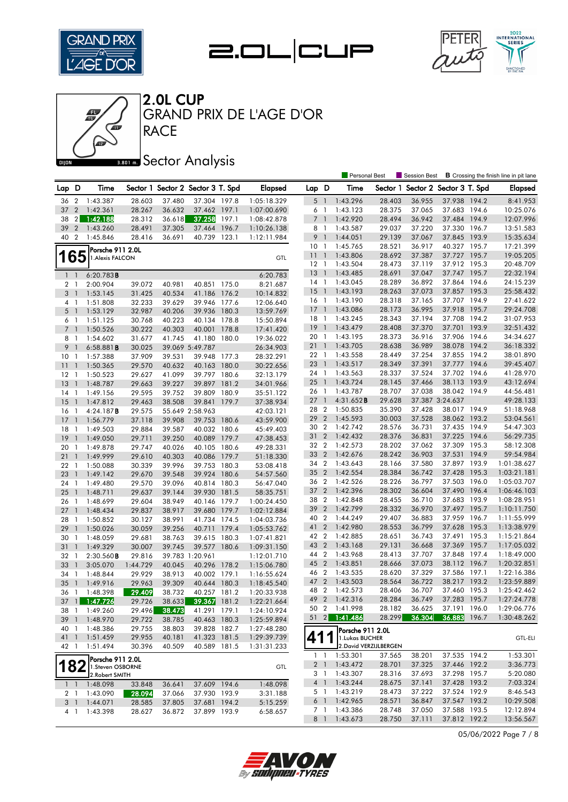







**RACE** GRAND PRIX DE L'AGE D'OR

### **Bana** Sector Analysis

|                 |                          |                                     |                  |                  |                                   |       |                            |                 |                          | Personal Best                             |                  | Session Best                      |                              |       | <b>B</b> Crossing the finish line in pit lane |
|-----------------|--------------------------|-------------------------------------|------------------|------------------|-----------------------------------|-------|----------------------------|-----------------|--------------------------|-------------------------------------------|------------------|-----------------------------------|------------------------------|-------|-----------------------------------------------|
| Lap D           |                          | Time                                |                  |                  | Sector 1 Sector 2 Sector 3 T. Spd |       | <b>Elapsed</b>             | Lap D           |                          | Time                                      |                  | Sector 1 Sector 2 Sector 3 T. Spd |                              |       | <b>Elapsed</b>                                |
| 36              | $\overline{2}$           | 1:43.387                            | 28.603           | 37.480           | 37.304 197.8                      |       | 1:05:18.329                | $5-1$           |                          | 1:43.296                                  | 28.403           | 36.955                            | 37.938 194.2                 |       | 8:41.953                                      |
| 37              | $\overline{2}$           | 1:42.361                            | 28.267           | 36.632           | 37.462 197.1                      |       | 1:07:00.690                | 6 1             |                          | 1:43.123                                  | 28.375           | 37.065                            | 37.683 194.6                 |       | 10:25.076                                     |
| 38              | $\mathbf{2}$             | 1:42.188                            | 28.312           | 36.618           | 37.258                            | 197.1 | 1:08:42.878                | $\overline{7}$  | $\overline{1}$           | 1:42.920                                  | 28.494           | 36.942                            | 37.484 194.9                 |       | 12:07.996                                     |
| 39              | $\overline{2}$           | 1:43.260                            | 28.491           | 37.305           | 37.464                            | 196.7 | 1:10:26.138                | 8               | $\overline{\phantom{a}}$ | 1:43.587                                  | 29.037           | 37.220                            | 37.330 196.7                 |       | 13:51.583                                     |
| 40 2            |                          | 1:45.846                            | 28.416           | 36.691           | 40.739 123.1                      |       | 1:12:11.984                | 9               | $\overline{1}$           | 1:44.051                                  | 29.139           | 37.067                            | 37.845 193.9                 |       | 15:35.634                                     |
|                 |                          |                                     |                  |                  |                                   |       |                            | 10 <sub>1</sub> |                          | 1:45.765                                  | 28.521           | 36.917                            | 40.327 195.7                 |       | 17:21.399                                     |
|                 | 165                      | Porsche 911 2.0L                    |                  |                  |                                   |       | GTL                        | 11              | $\overline{1}$           | 1:43.806                                  | 28.692           | 37.387                            | 37.727 195.7                 |       | 19:05.205                                     |
|                 |                          | 1. Alexis FALCON                    |                  |                  |                                   |       |                            | $12-1$          |                          | 1:43.504                                  | 28.473           | 37.119                            | 37.912 195.3                 |       | 20:48.709                                     |
| $1\quad$        |                          | 6:20.783B                           |                  |                  |                                   |       | 6:20.783                   | 13              | $\overline{1}$           | 1:43.485                                  | 28.691           | 37.047                            | 37.747 195.7                 |       | 22:32.194                                     |
| $\overline{2}$  | $\mathbf{1}$             | 2:00.904                            | 39.072           | 40.981           | 40.851 175.0                      |       | 8:21.687                   | $14-1$          |                          | 1:43.045                                  | 28.289           | 36.892                            | 37.864 194.6                 |       | 24:15.239                                     |
| 3 <sup>1</sup>  |                          | 1:53.145                            | 31.425           | 40.534           | 41.186 176.2                      |       | 10:14.832                  | 15              | $\overline{1}$           | 1:43.193                                  | 28.263           | 37.073                            | 37.857 195.3                 |       | 25:58.432                                     |
| 4 <sub>1</sub>  |                          | 1:51.808                            | 32.233           | 39.629           | 39.946 177.6                      |       | 12:06.640                  | $16-1$          |                          | 1:43.190                                  | 28.318           | 37.165                            | 37.707 194.9                 |       | 27:41.622                                     |
| 5 <sub>1</sub>  |                          | 1:53.129                            | 32.987           | 40.206           | 39.936 180.3                      |       | 13:59.769                  | 17              | $\overline{1}$           | 1:43.086                                  | 28.173           | 36.995                            | 37.918 195.7                 |       | 29:24.708                                     |
| 6 1             |                          | 1:51.125                            | 30.768           | 40.223           | 40.134 178.8                      |       | 15:50.894                  | 18 1            |                          | 1:43.245                                  | 28.343           | 37.194                            | 37.708 194.2                 |       | 31:07.953                                     |
| 7 <sup>1</sup>  |                          | 1:50.526                            | 30.222           | 40.303           | 40.001                            | 178.8 | 17:41.420                  | $19-1$          |                          | 1:43.479                                  | 28.408           | 37.370                            | 37.701 193.9                 |       | 32:51.432                                     |
| 8               | $\overline{1}$           | 1:54.602                            | 31.677           | 41.745           | 41.180 180.0                      |       | 19:36.022                  | 20              | $\overline{1}$           | 1:43.195                                  | 28.373           | 36.916                            | 37.906 194.6                 |       | 34:34.627                                     |
| 9               | $\mathbf{1}$             | 6:58.881B                           | 30.025           |                  | 39.069 5:49.787                   |       | 26:34.903                  | 211             |                          | 1:43.705                                  | 28.638           | 36.989                            | 38.078 194.2                 |       | 36:18.332                                     |
| 10 <sup>°</sup> | -1                       | 1:57.388                            | 37.909           | 39.531           | 39.948                            | 177.3 | 28:32.291                  | 22 1            |                          | 1:43.558                                  | 28.449           | 37.254                            | 37.855 194.2                 |       | 38:01.890                                     |
| 11              | $\overline{\phantom{a}}$ | 1:50.365                            | 29.570           | 40.632           | 40.163 180.0                      |       | 30:22.656                  | 23 1            |                          | 1:43.517                                  | 28.349           | 37.391                            | 37.777 194.6                 |       | 39:45.407                                     |
| $12-1$          |                          | 1:50.523                            | 29.627           | 41.099           | 39.797 180.6                      |       | 32:13.179                  | 24 1            |                          | 1:43.563                                  | 28.337           | 37.524                            | 37.702 194.6                 |       | 41:28.970                                     |
| 13              | $\overline{1}$           | 1:48.787                            | 29.663           | 39.227           | 39.897 181.2                      |       | 34:01.966                  | 25              | $\overline{1}$           | 1:43.724                                  | 28.145           | 37.466                            | 38.113 193.9                 |       | 43:12.694                                     |
| 14              | -1                       | 1:49.156                            | 29.595           | 39.752           | 39.809 180.9                      |       | 35:51.122                  | 26 1            |                          | 1:43.787                                  | 28.707           | 37.038                            | 38.042 194.9                 |       | 44:56.481                                     |
| 15              | $\overline{1}$           | 1:47.812                            | 29.463           | 38.508           | 39.841                            | 179.7 | 37:38.934                  | 27              | $\overline{1}$           | 4:31.652 <b>B</b>                         | 29.628           |                                   | 37.387 3:24.637              |       | 49:28.133                                     |
| 16              | -1                       | 4:24.187B                           | 29.575           |                  | 55.649 2:58.963                   |       | 42:03.121                  | 28 2            |                          | 1:50.835                                  | 35.390           | 37.428                            | 38.017 194.9                 |       | 51:18.968                                     |
| $17-1$          |                          | 1:56.779                            | 37.118           | 39.908           | 39.753 180.6                      |       | 43:59.900                  | 29              | $\overline{2}$           | 1:45.593                                  | 30.003           | 37.528                            | 38.062 193.2                 |       | 53:04.561                                     |
| 18              | $\overline{1}$           | 1:49.503                            | 29.884           | 39.587           | 40.032 180.6                      |       | 45:49.403                  | 30 2            |                          | 1:42.742                                  | 28.576           | 36.731                            | 37.435 194.9                 |       | 54:47.303                                     |
| 19              | $\overline{1}$           | 1:49.050                            | 29.711           | 39.250           | 40.089 179.7                      |       | 47:38.453                  | 31 2            |                          | 1:42.432                                  | 28.376           | 36.831                            | 37.225 194.6                 |       | 56:29.735                                     |
| 20              | $\overline{1}$           | 1:49.878                            | 29.747           | 40.026           | 40.105 180.6                      |       | 49:28.331                  | 32 2            |                          | 1:42.573                                  | 28.202           | 37.062                            | 37.309 195.3                 |       | 58:12.308                                     |
| 21              | $\overline{1}$           | 1:49.999                            | 29.610           | 40.303           | 40.086 179.7                      |       | 51:18.330                  | 33 2            |                          | 1:42.676                                  | 28.242           | 36.903                            | 37.531 194.9                 |       | 59:54.984                                     |
| 22              | $\overline{1}$           | 1:50.088                            | 30.339           | 39.996           | 39.753                            | 180.3 | 53:08.418                  | 34 2            |                          | 1:43.643                                  | 28.166           | 37.580                            | 37.897 193.9                 |       | 1:01:38.627                                   |
| 23              | $\overline{1}$           | 1:49.142                            | 29.670           | 39.548           | 39.924 180.6                      |       | 54:57.560                  | 35 2            |                          | 1:42.554                                  | 28.384           | 36.742                            | 37.428 195.3                 |       | 1:03:21.181                                   |
| 24 1            |                          | 1:49.480                            | 29.570           | 39.096           | 40.814 180.3                      |       | 56:47.040                  | 36 2            |                          | 1:42.526                                  | 28.226           | 36.797                            | 37.503 196.0                 |       | 1:05:03.707                                   |
| 25              | $\overline{1}$           | 1:48.711                            | 29.637           | 39.144           | 39.930 181.5                      |       | 58:35.751                  | 37 2            |                          | 1:42.396                                  | 28.302           | 36.604                            | 37.490 196.4                 |       | 1:06:46.103                                   |
| 26              | -1                       | 1:48.699                            | 29.604           | 38.949           | 40.146 179.7                      |       | 1:00:24.450                | 38 2            |                          | 1:42.848                                  | 28.455           | 36.710                            | 37.683 193.9                 |       | 1:08:28.951                                   |
| 27              | $\overline{1}$           | 1:48.434                            | 29.837           | 38.917           | 39.680                            | 179.7 | 1:02:12.884                | 39              | $\overline{2}$           | 1:42.799                                  | 28.332           | 36.970                            | 37.497 195.7                 |       | 1:10:11.750                                   |
| 28              | -1                       | 1:50.852                            | 30.127           | 38.991           | 41.734 174.5                      |       | 1:04:03.736                | 40              | $\overline{2}$           | 1:44.249                                  | 29.407           | 36.883                            | 37.959 196.7                 |       | 1:11:55.999                                   |
| 29              | $\overline{1}$           | 1:50.026                            | 30.059           | 39.256           | 40.711 179.4                      |       | 1:05:53.762                | 41              | $\overline{2}$           | 1:42.980                                  | 28.553           | 36.799                            | 37.628 195.3                 |       | 1:13:38.979                                   |
| 30 <sub>1</sub> |                          | 1:48.059                            | 29.681           | 38.763           | 39.615 180.3                      |       | 1:07:41.821                | 42 2            |                          | 1:42.885                                  | 28.651           | 36.743                            | 37.491 195.3                 |       | 1:15:21.864                                   |
| 31              | $\overline{1}$           | 1:49.329                            | 30.007           | 39.745           | 39.577 180.6                      |       | 1:09:31.150                | 43 2            |                          | 1:43.168                                  | 29.131           | 36.668                            | 37.369 195.7                 |       | 1:17:05.032                                   |
| 32              | $\overline{1}$           | 2:30.560B                           | 29.816           |                  | 39.783 1:20.961                   |       | 1:12:01.710                | 44 2            |                          | 1:43.968                                  | 28.413<br>28.666 | 37.707                            | 37.848 197.4                 |       | 1:18:49.000                                   |
| 33              | $\overline{1}$           | 3:05.070                            | 1:44.729         | 40.045           | 40.296 178.2                      |       | 1:15:06.780                | 45 2<br>46 2    |                          | 1:43.851                                  |                  | 37.073                            | 38.112 196.7<br>37.586 197.1 |       | 1:20:32.851<br>1:22:16.386                    |
| 34 1            |                          | 1:48.844                            | 29.929           | 38.913           | 40.002 179.1                      |       | 1:16:55.624                | 47              | $\overline{2}$           | 1:43.535<br>1:43.503                      | 28.620<br>28.564 | 37.329<br>36.722                  | 38.217 193.2                 |       |                                               |
| 35              | $\overline{1}$           | 1:49.916                            | 29.963           | 39.309           | 40.644 180.3                      |       | 1:18:45.540                | 48 2            |                          | 1:42.573                                  | 28.406           | 36.707                            | 37.460 195.3                 |       | 1:23:59.889<br>1:25:42.462                    |
| 36 1            |                          | 1:48.398                            | 29.409           | 38.732           | 40.257 181.2                      |       | 1:20:33.938                |                 |                          | 49 2 1:42.316                             | 28.284           | 36.749                            | 37.283 195.7                 |       | 1:27:24.778                                   |
|                 |                          | 37 1 1:47.726                       | 29.726           | 38.633           | 39.367 181.2                      |       | 1:22:21.664                |                 |                          | 50 2 1:41.998                             | 28.182           | 36.625                            | 37.191 196.0                 |       | 1:29:06.776                                   |
|                 |                          | 38 1 1:49.260<br>1:48.970           | 29.496           | 38.473           | 41.291 179.1                      |       | 1:24:10.924                | $51 \quad 2$    |                          | 1:41.486                                  | 28.299           | 36.304                            | 36.883                       | 196.7 | 1:30:48.262                                   |
| 39 1            |                          |                                     | 29.722           | 38.785           | 40.463 180.3                      |       | 1:25:59.894                |                 |                          |                                           |                  |                                   |                              |       |                                               |
| 40 1            |                          | 1:48.386                            | 29.755<br>29.955 | 38.803           | 39.828 182.7<br>41.323 181.5      |       | 1:27:48.280<br>1:29:39.739 | 41              |                          | Porsche 911 2.0L                          |                  |                                   |                              |       |                                               |
| 41 1<br>42 1    |                          | 1:51.459                            | 30.396           | 40.181<br>40.509 | 40.589 181.5                      |       |                            |                 |                          | 1. Lukas BUCHER<br>2. David VERZIJLBERGEN |                  |                                   |                              |       | <b>GTL-ELI</b>                                |
|                 |                          | 1:51.494                            |                  |                  |                                   |       | 1:31:31.233                |                 |                          | $1 \quad 1 \quad 1:53.301$                | 37.565           | 38.201                            | 37.535 194.2                 |       | 1:53.301                                      |
|                 | 182                      | Porsche 911 2.0L                    |                  |                  |                                   |       |                            |                 |                          | 2 1 1:43.472                              | 28.701           | 37.325                            | 37.446 192.2                 |       | 3:36.773                                      |
|                 |                          | 1.Steven OSBORNE<br>2. Robert SMITH |                  |                  |                                   |       | GTL                        |                 | 3 1                      | 1:43.307                                  | 28.316           | 37.693                            | 37.298 195.7                 |       | 5:20.080                                      |
|                 |                          | $1 \quad 1 \quad 1:48.098$          | 33.848           | 36.641           | 37.609 194.6                      |       | 1:48.098                   |                 | 4 1                      | 1:43.244                                  | 28.675           | 37.141                            | 37.428 193.2                 |       | 7:03.324                                      |
|                 | 2 1                      | 1:43.090                            | 28.094           | 37.066           | 37.930 193.9                      |       | 3:31.188                   |                 | 5 1                      | 1:43.219                                  | 28.473           | 37.222                            | 37.524 192.9                 |       | 8:46.543                                      |
|                 | 3 <sup>1</sup>           | 1:44.071                            | 28.585           | 37.805           | 37.681 194.2                      |       | 5:15.259                   |                 | 6 1                      | 1:42.965                                  | 28.571           | 36.847                            | 37.547 193.2                 |       | 10:29.508                                     |
|                 | $4-1$                    | 1:43.398                            | 28.627           | 36.872           | 37.899 193.9                      |       | 6:58.657                   |                 | 7 1                      | 1:43.386                                  | 28.748           | 37.050                            | 37.588 193.5                 |       | 12:12.894                                     |
|                 |                          |                                     |                  |                  |                                   |       |                            |                 |                          | 8 1 1:43.673                              | 28.750           | 37.111                            | 37.812 192.2                 |       | 13:56.567                                     |

05/06/2022 Page 7 / 8